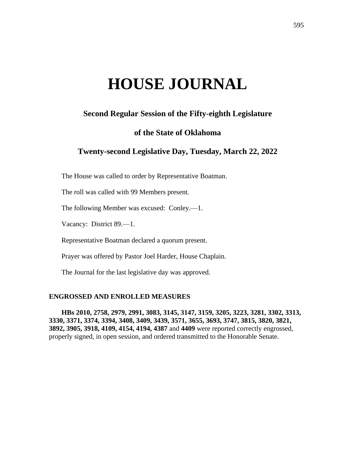# **HOUSE JOURNAL**

# **Second Regular Session of the Fifty-eighth Legislature**

# **of the State of Oklahoma**

# **Twenty-second Legislative Day, Tuesday, March 22, 2022**

The House was called to order by Representative Boatman.

The roll was called with 99 Members present.

The following Member was excused: Conley.—1.

Vacancy: District 89.—1.

Representative Boatman declared a quorum present.

Prayer was offered by Pastor Joel Harder, House Chaplain.

The Journal for the last legislative day was approved.

#### **ENGROSSED AND ENROLLED MEASURES**

**HBs 2010, 2758, 2979, 2991, 3083, 3145, 3147, 3159, 3205, 3223, 3281, 3302, 3313, 3330, 3371, 3374, 3394, 3408, 3409, 3439, 3571, 3655, 3693, 3747, 3815, 3820, 3821, 3892, 3905, 3918, 4109, 4154, 4194, 4387** and **4409** were reported correctly engrossed, properly signed, in open session, and ordered transmitted to the Honorable Senate.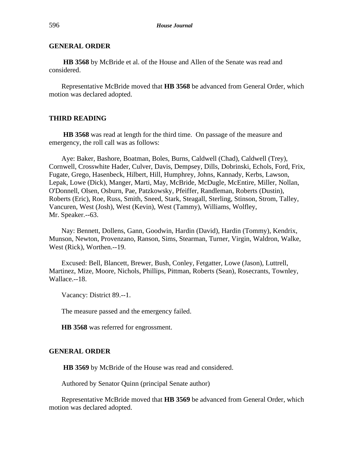# **GENERAL ORDER**

**HB 3568** by McBride et al. of the House and Allen of the Senate was read and considered.

Representative McBride moved that **HB 3568** be advanced from General Order, which motion was declared adopted.

#### **THIRD READING**

**HB 3568** was read at length for the third time. On passage of the measure and emergency, the roll call was as follows:

Aye: Baker, Bashore, Boatman, Boles, Burns, Caldwell (Chad), Caldwell (Trey), Cornwell, Crosswhite Hader, Culver, Davis, Dempsey, Dills, Dobrinski, Echols, Ford, Frix, Fugate, Grego, Hasenbeck, Hilbert, Hill, Humphrey, Johns, Kannady, Kerbs, Lawson, Lepak, Lowe (Dick), Manger, Marti, May, McBride, McDugle, McEntire, Miller, Nollan, O'Donnell, Olsen, Osburn, Pae, Patzkowsky, Pfeiffer, Randleman, Roberts (Dustin), Roberts (Eric), Roe, Russ, Smith, Sneed, Stark, Steagall, Sterling, Stinson, Strom, Talley, Vancuren, West (Josh), West (Kevin), West (Tammy), Williams, Wolfley, Mr. Speaker.--63.

Nay: Bennett, Dollens, Gann, Goodwin, Hardin (David), Hardin (Tommy), Kendrix, Munson, Newton, Provenzano, Ranson, Sims, Stearman, Turner, Virgin, Waldron, Walke, West (Rick), Worthen.--19.

Excused: Bell, Blancett, Brewer, Bush, Conley, Fetgatter, Lowe (Jason), Luttrell, Martinez, Mize, Moore, Nichols, Phillips, Pittman, Roberts (Sean), Rosecrants, Townley, Wallace.--18.

Vacancy: District 89.--1.

The measure passed and the emergency failed.

**HB 3568** was referred for engrossment.

#### **GENERAL ORDER**

**HB 3569** by McBride of the House was read and considered.

Authored by Senator Quinn (principal Senate author)

Representative McBride moved that **HB 3569** be advanced from General Order, which motion was declared adopted.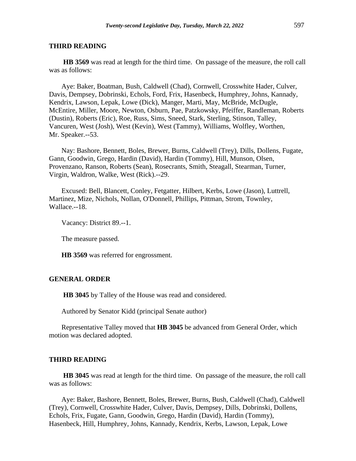**HB 3569** was read at length for the third time. On passage of the measure, the roll call was as follows:

Aye: Baker, Boatman, Bush, Caldwell (Chad), Cornwell, Crosswhite Hader, Culver, Davis, Dempsey, Dobrinski, Echols, Ford, Frix, Hasenbeck, Humphrey, Johns, Kannady, Kendrix, Lawson, Lepak, Lowe (Dick), Manger, Marti, May, McBride, McDugle, McEntire, Miller, Moore, Newton, Osburn, Pae, Patzkowsky, Pfeiffer, Randleman, Roberts (Dustin), Roberts (Eric), Roe, Russ, Sims, Sneed, Stark, Sterling, Stinson, Talley, Vancuren, West (Josh), West (Kevin), West (Tammy), Williams, Wolfley, Worthen, Mr. Speaker.--53.

Nay: Bashore, Bennett, Boles, Brewer, Burns, Caldwell (Trey), Dills, Dollens, Fugate, Gann, Goodwin, Grego, Hardin (David), Hardin (Tommy), Hill, Munson, Olsen, Provenzano, Ranson, Roberts (Sean), Rosecrants, Smith, Steagall, Stearman, Turner, Virgin, Waldron, Walke, West (Rick).--29.

Excused: Bell, Blancett, Conley, Fetgatter, Hilbert, Kerbs, Lowe (Jason), Luttrell, Martinez, Mize, Nichols, Nollan, O'Donnell, Phillips, Pittman, Strom, Townley, Wallace.--18.

Vacancy: District 89.--1.

The measure passed.

**HB 3569** was referred for engrossment.

# **GENERAL ORDER**

**HB 3045** by Talley of the House was read and considered.

Authored by Senator Kidd (principal Senate author)

Representative Talley moved that **HB 3045** be advanced from General Order, which motion was declared adopted.

#### **THIRD READING**

**HB 3045** was read at length for the third time. On passage of the measure, the roll call was as follows:

Aye: Baker, Bashore, Bennett, Boles, Brewer, Burns, Bush, Caldwell (Chad), Caldwell (Trey), Cornwell, Crosswhite Hader, Culver, Davis, Dempsey, Dills, Dobrinski, Dollens, Echols, Frix, Fugate, Gann, Goodwin, Grego, Hardin (David), Hardin (Tommy), Hasenbeck, Hill, Humphrey, Johns, Kannady, Kendrix, Kerbs, Lawson, Lepak, Lowe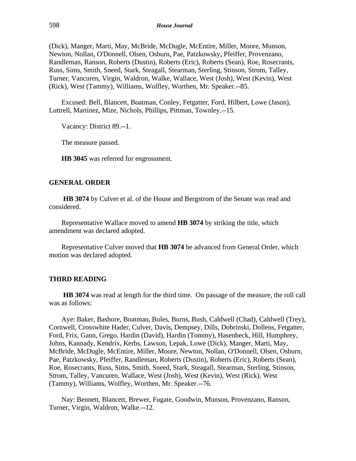(Dick), Manger, Marti, May, McBride, McDugle, McEntire, Miller, Moore, Munson, Newton, Nollan, O'Donnell, Olsen, Osburn, Pae, Patzkowsky, Pfeiffer, Provenzano, Randleman, Ranson, Roberts (Dustin), Roberts (Eric), Roberts (Sean), Roe, Rosecrants, Russ, Sims, Smith, Sneed, Stark, Steagall, Stearman, Sterling, Stinson, Strom, Talley, Turner, Vancuren, Virgin, Waldron, Walke, Wallace, West (Josh), West (Kevin), West (Rick), West (Tammy), Williams, Wolfley, Worthen, Mr. Speaker.--85.

Excused: Bell, Blancett, Boatman, Conley, Fetgatter, Ford, Hilbert, Lowe (Jason), Luttrell, Martinez, Mize, Nichols, Phillips, Pittman, Townley.--15.

Vacancy: District 89.--1.

The measure passed.

**HB 3045** was referred for engrossment.

#### **GENERAL ORDER**

**HB 3074** by Culver et al. of the House and Bergstrom of the Senate was read and considered.

Representative Wallace moved to amend **HB 3074** by striking the title, which amendment was declared adopted.

Representative Culver moved that **HB 3074** be advanced from General Order, which motion was declared adopted.

#### **THIRD READING**

**HB 3074** was read at length for the third time. On passage of the measure, the roll call was as follows:

Aye: Baker, Bashore, Boatman, Boles, Burns, Bush, Caldwell (Chad), Caldwell (Trey), Cornwell, Crosswhite Hader, Culver, Davis, Dempsey, Dills, Dobrinski, Dollens, Fetgatter, Ford, Frix, Gann, Grego, Hardin (David), Hardin (Tommy), Hasenbeck, Hill, Humphrey, Johns, Kannady, Kendrix, Kerbs, Lawson, Lepak, Lowe (Dick), Manger, Marti, May, McBride, McDugle, McEntire, Miller, Moore, Newton, Nollan, O'Donnell, Olsen, Osburn, Pae, Patzkowsky, Pfeiffer, Randleman, Roberts (Dustin), Roberts (Eric), Roberts (Sean), Roe, Rosecrants, Russ, Sims, Smith, Sneed, Stark, Steagall, Stearman, Sterling, Stinson, Strom, Talley, Vancuren, Wallace, West (Josh), West (Kevin), West (Rick), West (Tammy), Williams, Wolfley, Worthen, Mr. Speaker.--76.

Nay: Bennett, Blancett, Brewer, Fugate, Goodwin, Munson, Provenzano, Ranson, Turner, Virgin, Waldron, Walke.--12.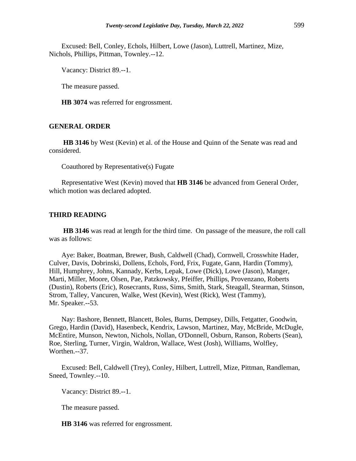Excused: Bell, Conley, Echols, Hilbert, Lowe (Jason), Luttrell, Martinez, Mize, Nichols, Phillips, Pittman, Townley.--12.

Vacancy: District 89.--1.

The measure passed.

**HB 3074** was referred for engrossment.

# **GENERAL ORDER**

**HB 3146** by West (Kevin) et al. of the House and Quinn of the Senate was read and considered.

Coauthored by Representative(s) Fugate

Representative West (Kevin) moved that **HB 3146** be advanced from General Order, which motion was declared adopted.

# **THIRD READING**

**HB 3146** was read at length for the third time. On passage of the measure, the roll call was as follows:

Aye: Baker, Boatman, Brewer, Bush, Caldwell (Chad), Cornwell, Crosswhite Hader, Culver, Davis, Dobrinski, Dollens, Echols, Ford, Frix, Fugate, Gann, Hardin (Tommy), Hill, Humphrey, Johns, Kannady, Kerbs, Lepak, Lowe (Dick), Lowe (Jason), Manger, Marti, Miller, Moore, Olsen, Pae, Patzkowsky, Pfeiffer, Phillips, Provenzano, Roberts (Dustin), Roberts (Eric), Rosecrants, Russ, Sims, Smith, Stark, Steagall, Stearman, Stinson, Strom, Talley, Vancuren, Walke, West (Kevin), West (Rick), West (Tammy), Mr. Speaker.--53.

Nay: Bashore, Bennett, Blancett, Boles, Burns, Dempsey, Dills, Fetgatter, Goodwin, Grego, Hardin (David), Hasenbeck, Kendrix, Lawson, Martinez, May, McBride, McDugle, McEntire, Munson, Newton, Nichols, Nollan, O'Donnell, Osburn, Ranson, Roberts (Sean), Roe, Sterling, Turner, Virgin, Waldron, Wallace, West (Josh), Williams, Wolfley, Worthen.--37.

Excused: Bell, Caldwell (Trey), Conley, Hilbert, Luttrell, Mize, Pittman, Randleman, Sneed, Townley.--10.

Vacancy: District 89.--1.

The measure passed.

**HB 3146** was referred for engrossment.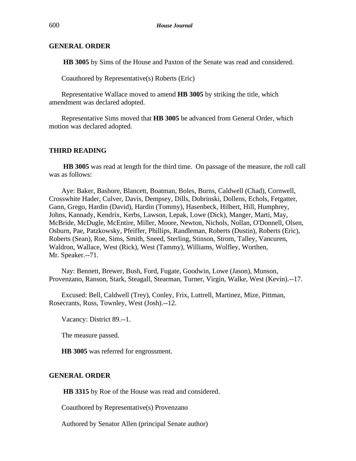#### **GENERAL ORDER**

**HB 3005** by Sims of the House and Paxton of the Senate was read and considered.

Coauthored by Representative(s) Roberts (Eric)

Representative Wallace moved to amend **HB 3005** by striking the title, which amendment was declared adopted.

Representative Sims moved that **HB 3005** be advanced from General Order, which motion was declared adopted.

#### **THIRD READING**

**HB 3005** was read at length for the third time. On passage of the measure, the roll call was as follows:

Aye: Baker, Bashore, Blancett, Boatman, Boles, Burns, Caldwell (Chad), Cornwell, Crosswhite Hader, Culver, Davis, Dempsey, Dills, Dobrinski, Dollens, Echols, Fetgatter, Gann, Grego, Hardin (David), Hardin (Tommy), Hasenbeck, Hilbert, Hill, Humphrey, Johns, Kannady, Kendrix, Kerbs, Lawson, Lepak, Lowe (Dick), Manger, Marti, May, McBride, McDugle, McEntire, Miller, Moore, Newton, Nichols, Nollan, O'Donnell, Olsen, Osburn, Pae, Patzkowsky, Pfeiffer, Phillips, Randleman, Roberts (Dustin), Roberts (Eric), Roberts (Sean), Roe, Sims, Smith, Sneed, Sterling, Stinson, Strom, Talley, Vancuren, Waldron, Wallace, West (Rick), West (Tammy), Williams, Wolfley, Worthen, Mr. Speaker.--71.

Nay: Bennett, Brewer, Bush, Ford, Fugate, Goodwin, Lowe (Jason), Munson, Provenzano, Ranson, Stark, Steagall, Stearman, Turner, Virgin, Walke, West (Kevin).--17.

Excused: Bell, Caldwell (Trey), Conley, Frix, Luttrell, Martinez, Mize, Pittman, Rosecrants, Russ, Townley, West (Josh).--12.

Vacancy: District 89.--1.

The measure passed.

**HB 3005** was referred for engrossment.

#### **GENERAL ORDER**

**HB 3315** by Roe of the House was read and considered.

Coauthored by Representative(s) Provenzano

Authored by Senator Allen (principal Senate author)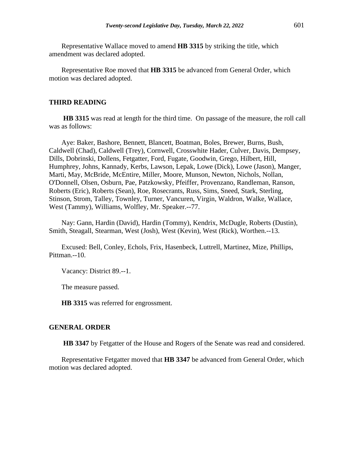Representative Wallace moved to amend **HB 3315** by striking the title, which amendment was declared adopted.

Representative Roe moved that **HB 3315** be advanced from General Order, which motion was declared adopted.

# **THIRD READING**

**HB 3315** was read at length for the third time. On passage of the measure, the roll call was as follows:

Aye: Baker, Bashore, Bennett, Blancett, Boatman, Boles, Brewer, Burns, Bush, Caldwell (Chad), Caldwell (Trey), Cornwell, Crosswhite Hader, Culver, Davis, Dempsey, Dills, Dobrinski, Dollens, Fetgatter, Ford, Fugate, Goodwin, Grego, Hilbert, Hill, Humphrey, Johns, Kannady, Kerbs, Lawson, Lepak, Lowe (Dick), Lowe (Jason), Manger, Marti, May, McBride, McEntire, Miller, Moore, Munson, Newton, Nichols, Nollan, O'Donnell, Olsen, Osburn, Pae, Patzkowsky, Pfeiffer, Provenzano, Randleman, Ranson, Roberts (Eric), Roberts (Sean), Roe, Rosecrants, Russ, Sims, Sneed, Stark, Sterling, Stinson, Strom, Talley, Townley, Turner, Vancuren, Virgin, Waldron, Walke, Wallace, West (Tammy), Williams, Wolfley, Mr. Speaker.--77.

Nay: Gann, Hardin (David), Hardin (Tommy), Kendrix, McDugle, Roberts (Dustin), Smith, Steagall, Stearman, West (Josh), West (Kevin), West (Rick), Worthen.--13.

Excused: Bell, Conley, Echols, Frix, Hasenbeck, Luttrell, Martinez, Mize, Phillips, Pittman.--10.

Vacancy: District 89.--1.

The measure passed.

**HB 3315** was referred for engrossment.

#### **GENERAL ORDER**

**HB 3347** by Fetgatter of the House and Rogers of the Senate was read and considered.

Representative Fetgatter moved that **HB 3347** be advanced from General Order, which motion was declared adopted.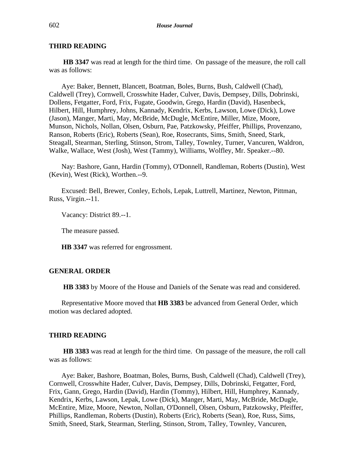**HB 3347** was read at length for the third time. On passage of the measure, the roll call was as follows:

Aye: Baker, Bennett, Blancett, Boatman, Boles, Burns, Bush, Caldwell (Chad), Caldwell (Trey), Cornwell, Crosswhite Hader, Culver, Davis, Dempsey, Dills, Dobrinski, Dollens, Fetgatter, Ford, Frix, Fugate, Goodwin, Grego, Hardin (David), Hasenbeck, Hilbert, Hill, Humphrey, Johns, Kannady, Kendrix, Kerbs, Lawson, Lowe (Dick), Lowe (Jason), Manger, Marti, May, McBride, McDugle, McEntire, Miller, Mize, Moore, Munson, Nichols, Nollan, Olsen, Osburn, Pae, Patzkowsky, Pfeiffer, Phillips, Provenzano, Ranson, Roberts (Eric), Roberts (Sean), Roe, Rosecrants, Sims, Smith, Sneed, Stark, Steagall, Stearman, Sterling, Stinson, Strom, Talley, Townley, Turner, Vancuren, Waldron, Walke, Wallace, West (Josh), West (Tammy), Williams, Wolfley, Mr. Speaker.--80.

Nay: Bashore, Gann, Hardin (Tommy), O'Donnell, Randleman, Roberts (Dustin), West (Kevin), West (Rick), Worthen.--9.

Excused: Bell, Brewer, Conley, Echols, Lepak, Luttrell, Martinez, Newton, Pittman, Russ, Virgin.--11.

Vacancy: District 89.--1.

The measure passed.

**HB 3347** was referred for engrossment.

#### **GENERAL ORDER**

**HB 3383** by Moore of the House and Daniels of the Senate was read and considered.

Representative Moore moved that **HB 3383** be advanced from General Order, which motion was declared adopted.

#### **THIRD READING**

**HB 3383** was read at length for the third time. On passage of the measure, the roll call was as follows:

Aye: Baker, Bashore, Boatman, Boles, Burns, Bush, Caldwell (Chad), Caldwell (Trey), Cornwell, Crosswhite Hader, Culver, Davis, Dempsey, Dills, Dobrinski, Fetgatter, Ford, Frix, Gann, Grego, Hardin (David), Hardin (Tommy), Hilbert, Hill, Humphrey, Kannady, Kendrix, Kerbs, Lawson, Lepak, Lowe (Dick), Manger, Marti, May, McBride, McDugle, McEntire, Mize, Moore, Newton, Nollan, O'Donnell, Olsen, Osburn, Patzkowsky, Pfeiffer, Phillips, Randleman, Roberts (Dustin), Roberts (Eric), Roberts (Sean), Roe, Russ, Sims, Smith, Sneed, Stark, Stearman, Sterling, Stinson, Strom, Talley, Townley, Vancuren,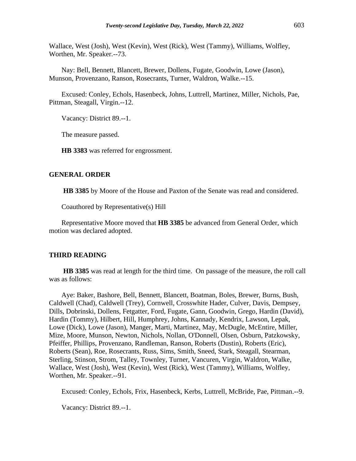Wallace, West (Josh), West (Kevin), West (Rick), West (Tammy), Williams, Wolfley, Worthen, Mr. Speaker.--73.

Nay: Bell, Bennett, Blancett, Brewer, Dollens, Fugate, Goodwin, Lowe (Jason), Munson, Provenzano, Ranson, Rosecrants, Turner, Waldron, Walke.--15.

Excused: Conley, Echols, Hasenbeck, Johns, Luttrell, Martinez, Miller, Nichols, Pae, Pittman, Steagall, Virgin.--12.

Vacancy: District 89.--1.

The measure passed.

**HB 3383** was referred for engrossment.

# **GENERAL ORDER**

**HB 3385** by Moore of the House and Paxton of the Senate was read and considered.

Coauthored by Representative(s) Hill

Representative Moore moved that **HB 3385** be advanced from General Order, which motion was declared adopted.

#### **THIRD READING**

**HB 3385** was read at length for the third time. On passage of the measure, the roll call was as follows:

Aye: Baker, Bashore, Bell, Bennett, Blancett, Boatman, Boles, Brewer, Burns, Bush, Caldwell (Chad), Caldwell (Trey), Cornwell, Crosswhite Hader, Culver, Davis, Dempsey, Dills, Dobrinski, Dollens, Fetgatter, Ford, Fugate, Gann, Goodwin, Grego, Hardin (David), Hardin (Tommy), Hilbert, Hill, Humphrey, Johns, Kannady, Kendrix, Lawson, Lepak, Lowe (Dick), Lowe (Jason), Manger, Marti, Martinez, May, McDugle, McEntire, Miller, Mize, Moore, Munson, Newton, Nichols, Nollan, O'Donnell, Olsen, Osburn, Patzkowsky, Pfeiffer, Phillips, Provenzano, Randleman, Ranson, Roberts (Dustin), Roberts (Eric), Roberts (Sean), Roe, Rosecrants, Russ, Sims, Smith, Sneed, Stark, Steagall, Stearman, Sterling, Stinson, Strom, Talley, Townley, Turner, Vancuren, Virgin, Waldron, Walke, Wallace, West (Josh), West (Kevin), West (Rick), West (Tammy), Williams, Wolfley, Worthen, Mr. Speaker.--91.

Excused: Conley, Echols, Frix, Hasenbeck, Kerbs, Luttrell, McBride, Pae, Pittman.--9.

Vacancy: District 89.--1.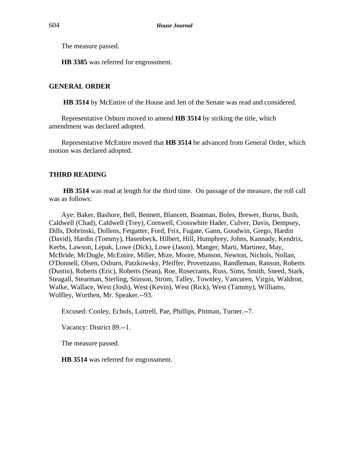The measure passed.

**HB 3385** was referred for engrossment.

# **GENERAL ORDER**

**HB 3514** by McEntire of the House and Jett of the Senate was read and considered.

Representative Osburn moved to amend **HB 3514** by striking the title, which amendment was declared adopted.

Representative McEntire moved that **HB 3514** be advanced from General Order, which motion was declared adopted.

# **THIRD READING**

**HB 3514** was read at length for the third time. On passage of the measure, the roll call was as follows:

Aye: Baker, Bashore, Bell, Bennett, Blancett, Boatman, Boles, Brewer, Burns, Bush, Caldwell (Chad), Caldwell (Trey), Cornwell, Crosswhite Hader, Culver, Davis, Dempsey, Dills, Dobrinski, Dollens, Fetgatter, Ford, Frix, Fugate, Gann, Goodwin, Grego, Hardin (David), Hardin (Tommy), Hasenbeck, Hilbert, Hill, Humphrey, Johns, Kannady, Kendrix, Kerbs, Lawson, Lepak, Lowe (Dick), Lowe (Jason), Manger, Marti, Martinez, May, McBride, McDugle, McEntire, Miller, Mize, Moore, Munson, Newton, Nichols, Nollan, O'Donnell, Olsen, Osburn, Patzkowsky, Pfeiffer, Provenzano, Randleman, Ranson, Roberts (Dustin), Roberts (Eric), Roberts (Sean), Roe, Rosecrants, Russ, Sims, Smith, Sneed, Stark, Steagall, Stearman, Sterling, Stinson, Strom, Talley, Townley, Vancuren, Virgin, Waldron, Walke, Wallace, West (Josh), West (Kevin), West (Rick), West (Tammy), Williams, Wolfley, Worthen, Mr. Speaker.--93.

Excused: Conley, Echols, Luttrell, Pae, Phillips, Pittman, Turner.--7.

Vacancy: District 89.--1.

The measure passed.

**HB 3514** was referred for engrossment.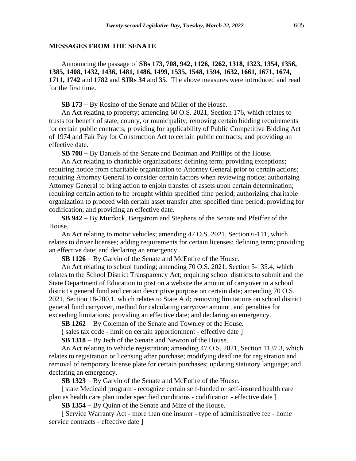#### **MESSAGES FROM THE SENATE**

Announcing the passage of **SBs 173, 708, 942, 1126, 1262, 1318, 1323, 1354, 1356, 1385, 1408, 1432, 1436, 1481, 1486, 1499, 1535, 1548, 1594, 1632, 1661, 1671, 1674, 1711, 1742** and **1782** and **SJRs 34** and **35**. The above measures were introduced and read for the first time.

**SB 173** − By Rosino of the Senate and Miller of the House.

An Act relating to property; amending 60 O.S. 2021, Section 176, which relates to trusts for benefit of state, county, or municipality; removing certain bidding requirements for certain public contracts; providing for applicability of Public Competitive Bidding Act of 1974 and Fair Pay for Construction Act to certain public contracts; and providing an effective date.

**SB 708** − By Daniels of the Senate and Boatman and Phillips of the House.

An Act relating to charitable organizations; defining term; providing exceptions; requiring notice from charitable organization to Attorney General prior to certain actions; requiring Attorney General to consider certain factors when reviewing notice; authorizing Attorney General to bring action to enjoin transfer of assets upon certain determination; requiring certain action to be brought within specified time period; authorizing charitable organization to proceed with certain asset transfer after specified time period; providing for codification; and providing an effective date.

**SB 942** − By Murdock, Bergstrom and Stephens of the Senate and Pfeiffer of the House.

An Act relating to motor vehicles; amending 47 O.S. 2021, Section 6-111, which relates to driver licenses; adding requirements for certain licenses; defining term; providing an effective date; and declaring an emergency.

**SB 1126** − By Garvin of the Senate and McEntire of the House.

An Act relating to school funding; amending 70 O.S. 2021, Section 5-135.4, which relates to the School District Transparency Act; requiring school districts to submit and the State Department of Education to post on a website the amount of carryover in a school district's general fund and certain descriptive purpose on certain date; amending 70 O.S. 2021, Section 18-200.1, which relates to State Aid; removing limitations on school district general fund carryover, method for calculating carryover amount, and penalties for exceeding limitations; providing an effective date; and declaring an emergency.

**SB 1262** − By Coleman of the Senate and Townley of the House.

[ sales tax code - limit on certain apportionment - effective date ]

**SB 1318** − By Jech of the Senate and Newton of the House.

An Act relating to vehicle registration; amending 47 O.S. 2021, Section 1137.3, which relates to registration or licensing after purchase; modifying deadline for registration and removal of temporary license plate for certain purchases; updating statutory language; and declaring an emergency.

**SB 1323** − By Garvin of the Senate and McEntire of the House.

[ state Medicaid program - recognize certain self-funded or self-insured health care plan as health care plan under specified conditions - codification - effective date ]

**SB 1354** − By Quinn of the Senate and Mize of the House.

[ Service Warranty Act - more than one insurer - type of administrative fee - home service contracts - effective date ]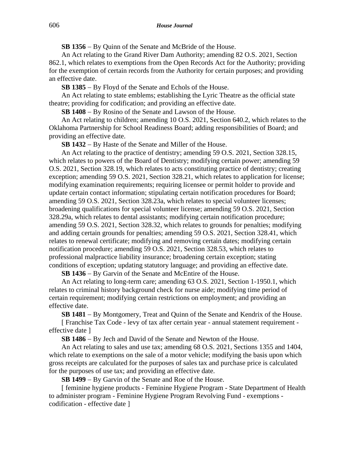**SB 1356** − By Quinn of the Senate and McBride of the House.

An Act relating to the Grand River Dam Authority; amending 82 O.S. 2021, Section 862.1, which relates to exemptions from the Open Records Act for the Authority; providing for the exemption of certain records from the Authority for certain purposes; and providing an effective date.

**SB 1385** − By Floyd of the Senate and Echols of the House.

An Act relating to state emblems; establishing the Lyric Theatre as the official state theatre; providing for codification; and providing an effective date.

**SB 1408** − By Rosino of the Senate and Lawson of the House.

An Act relating to children; amending 10 O.S. 2021, Section 640.2, which relates to the Oklahoma Partnership for School Readiness Board; adding responsibilities of Board; and providing an effective date.

**SB 1432** − By Haste of the Senate and Miller of the House.

An Act relating to the practice of dentistry; amending 59 O.S. 2021, Section 328.15, which relates to powers of the Board of Dentistry; modifying certain power; amending 59 O.S. 2021, Section 328.19, which relates to acts constituting practice of dentistry; creating exception; amending 59 O.S. 2021, Section 328.21, which relates to application for license; modifying examination requirements; requiring licensee or permit holder to provide and update certain contact information; stipulating certain notification procedures for Board; amending 59 O.S. 2021, Section 328.23a, which relates to special volunteer licenses; broadening qualifications for special volunteer license; amending 59 O.S. 2021, Section 328.29a, which relates to dental assistants; modifying certain notification procedure; amending 59 O.S. 2021, Section 328.32, which relates to grounds for penalties; modifying and adding certain grounds for penalties; amending 59 O.S. 2021, Section 328.41, which relates to renewal certificate; modifying and removing certain dates; modifying certain notification procedure; amending 59 O.S. 2021, Section 328.53, which relates to professional malpractice liability insurance; broadening certain exception; stating conditions of exception; updating statutory language; and providing an effective date.

**SB 1436** − By Garvin of the Senate and McEntire of the House.

An Act relating to long-term care; amending 63 O.S. 2021, Section 1-1950.1, which relates to criminal history background check for nurse aide; modifying time period of certain requirement; modifying certain restrictions on employment; and providing an effective date.

**SB 1481** − By Montgomery, Treat and Quinn of the Senate and Kendrix of the House.

[ Franchise Tax Code - levy of tax after certain year - annual statement requirement effective date ]

**SB 1486** − By Jech and David of the Senate and Newton of the House.

An Act relating to sales and use tax; amending 68 O.S. 2021, Sections 1355 and 1404, which relate to exemptions on the sale of a motor vehicle; modifying the basis upon which gross receipts are calculated for the purposes of sales tax and purchase price is calculated for the purposes of use tax; and providing an effective date.

**SB 1499** − By Garvin of the Senate and Roe of the House.

[ feminine hygiene products - Feminine Hygiene Program - State Department of Health to administer program - Feminine Hygiene Program Revolving Fund - exemptions codification - effective date ]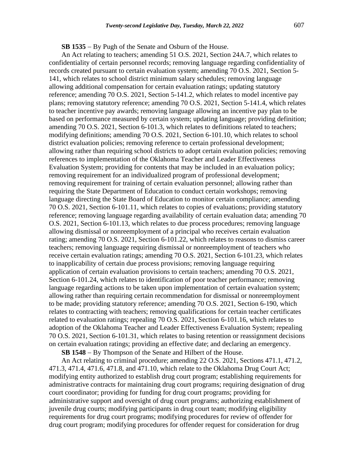# **SB 1535** − By Pugh of the Senate and Osburn of the House.

An Act relating to teachers; amending 51 O.S. 2021, Section 24A.7, which relates to confidentiality of certain personnel records; removing language regarding confidentiality of records created pursuant to certain evaluation system; amending 70 O.S. 2021, Section 5- 141, which relates to school district minimum salary schedules; removing language allowing additional compensation for certain evaluation ratings; updating statutory reference; amending 70 O.S. 2021, Section 5-141.2, which relates to model incentive pay plans; removing statutory reference; amending 70 O.S. 2021, Section 5-141.4, which relates to teacher incentive pay awards; removing language allowing an incentive pay plan to be based on performance measured by certain system; updating language; providing definition; amending 70 O.S. 2021, Section 6-101.3, which relates to definitions related to teachers; modifying definitions; amending 70 O.S. 2021, Section 6-101.10, which relates to school district evaluation policies; removing reference to certain professional development; allowing rather than requiring school districts to adopt certain evaluation policies; removing references to implementation of the Oklahoma Teacher and Leader Effectiveness Evaluation System; providing for contents that may be included in an evaluation policy; removing requirement for an individualized program of professional development; removing requirement for training of certain evaluation personnel; allowing rather than requiring the State Department of Education to conduct certain workshops; removing language directing the State Board of Education to monitor certain compliance; amending 70 O.S. 2021, Section 6-101.11, which relates to copies of evaluations; providing statutory reference; removing language regarding availability of certain evaluation data; amending 70 O.S. 2021, Section 6-101.13, which relates to due process procedures; removing language allowing dismissal or nonreemployment of a principal who receives certain evaluation rating; amending 70 O.S. 2021, Section 6-101.22, which relates to reasons to dismiss career teachers; removing language requiring dismissal or nonreemployment of teachers who receive certain evaluation ratings; amending 70 O.S. 2021, Section 6-101.23, which relates to inapplicability of certain due process provisions; removing language requiring application of certain evaluation provisions to certain teachers; amending 70 O.S. 2021, Section 6-101.24, which relates to identification of poor teacher performance; removing language regarding actions to be taken upon implementation of certain evaluation system; allowing rather than requiring certain recommendation for dismissal or nonreemployment to be made; providing statutory reference; amending 70 O.S. 2021, Section 6-190, which relates to contracting with teachers; removing qualifications for certain teacher certificates related to evaluation ratings; repealing 70 O.S. 2021, Section 6-101.16, which relates to adoption of the Oklahoma Teacher and Leader Effectiveness Evaluation System; repealing 70 O.S. 2021, Section 6-101.31, which relates to basing retention or reassignment decisions on certain evaluation ratings; providing an effective date; and declaring an emergency.

**SB 1548** − By Thompson of the Senate and Hilbert of the House.

An Act relating to criminal procedure; amending 22 O.S. 2021, Sections 471.1, 471.2, 471.3, 471.4, 471.6, 471.8, and 471.10, which relate to the Oklahoma Drug Court Act; modifying entity authorized to establish drug court program; establishing requirements for administrative contracts for maintaining drug court programs; requiring designation of drug court coordinator; providing for funding for drug court programs; providing for administrative support and oversight of drug court programs; authorizing establishment of juvenile drug courts; modifying participants in drug court team; modifying eligibility requirements for drug court programs; modifying procedures for review of offender for drug court program; modifying procedures for offender request for consideration for drug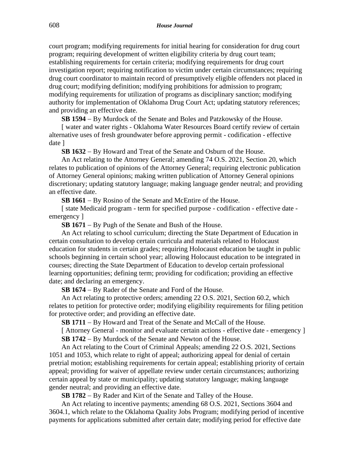court program; modifying requirements for initial hearing for consideration for drug court program; requiring development of written eligibility criteria by drug court team; establishing requirements for certain criteria; modifying requirements for drug court investigation report; requiring notification to victim under certain circumstances; requiring drug court coordinator to maintain record of presumptively eligible offenders not placed in drug court; modifying definition; modifying prohibitions for admission to program; modifying requirements for utilization of programs as disciplinary sanction; modifying authority for implementation of Oklahoma Drug Court Act; updating statutory references; and providing an effective date.

**SB 1594** − By Murdock of the Senate and Boles and Patzkowsky of the House.

[ water and water rights - Oklahoma Water Resources Board certify review of certain alternative uses of fresh groundwater before approving permit - codification - effective date ]

**SB 1632** − By Howard and Treat of the Senate and Osburn of the House.

An Act relating to the Attorney General; amending 74 O.S. 2021, Section 20, which relates to publication of opinions of the Attorney General; requiring electronic publication of Attorney General opinions; making written publication of Attorney General opinions discretionary; updating statutory language; making language gender neutral; and providing an effective date.

**SB 1661** − By Rosino of the Senate and McEntire of the House.

[ state Medicaid program - term for specified purpose - codification - effective date emergency ]

**SB 1671** − By Pugh of the Senate and Bush of the House.

An Act relating to school curriculum; directing the State Department of Education in certain consultation to develop certain curricula and materials related to Holocaust education for students in certain grades; requiring Holocaust education be taught in public schools beginning in certain school year; allowing Holocaust education to be integrated in courses; directing the State Department of Education to develop certain professional learning opportunities; defining term; providing for codification; providing an effective date; and declaring an emergency.

**SB 1674** − By Rader of the Senate and Ford of the House.

An Act relating to protective orders; amending 22 O.S. 2021, Section 60.2, which relates to petition for protective order; modifying eligibility requirements for filing petition for protective order; and providing an effective date.

**SB 1711** − By Howard and Treat of the Senate and McCall of the House.

[ Attorney General - monitor and evaluate certain actions - effective date - emergency ] **SB 1742** − By Murdock of the Senate and Newton of the House.

An Act relating to the Court of Criminal Appeals; amending 22 O.S. 2021, Sections 1051 and 1053, which relate to right of appeal; authorizing appeal for denial of certain pretrial motion; establishing requirements for certain appeal; establishing priority of certain appeal; providing for waiver of appellate review under certain circumstances; authorizing certain appeal by state or municipality; updating statutory language; making language gender neutral; and providing an effective date.

**SB 1782** − By Rader and Kirt of the Senate and Talley of the House.

An Act relating to incentive payments; amending 68 O.S. 2021, Sections 3604 and 3604.1, which relate to the Oklahoma Quality Jobs Program; modifying period of incentive payments for applications submitted after certain date; modifying period for effective date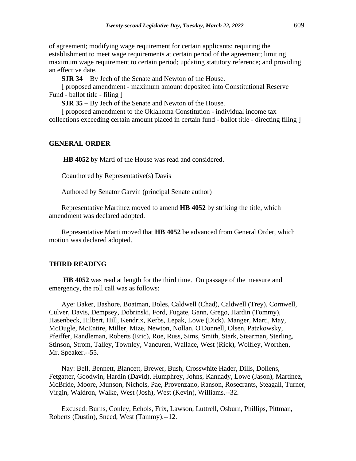of agreement; modifying wage requirement for certain applicants; requiring the establishment to meet wage requirements at certain period of the agreement; limiting maximum wage requirement to certain period; updating statutory reference; and providing an effective date.

**SJR 34** − By Jech of the Senate and Newton of the House.

[ proposed amendment - maximum amount deposited into Constitutional Reserve Fund - ballot title - filing ]

**SJR 35** − By Jech of the Senate and Newton of the House.

[ proposed amendment to the Oklahoma Constitution - individual income tax collections exceeding certain amount placed in certain fund - ballot title - directing filing ]

#### **GENERAL ORDER**

**HB 4052** by Marti of the House was read and considered.

Coauthored by Representative(s) Davis

Authored by Senator Garvin (principal Senate author)

Representative Martinez moved to amend **HB 4052** by striking the title, which amendment was declared adopted.

Representative Marti moved that **HB 4052** be advanced from General Order, which motion was declared adopted.

#### **THIRD READING**

**HB 4052** was read at length for the third time. On passage of the measure and emergency, the roll call was as follows:

Aye: Baker, Bashore, Boatman, Boles, Caldwell (Chad), Caldwell (Trey), Cornwell, Culver, Davis, Dempsey, Dobrinski, Ford, Fugate, Gann, Grego, Hardin (Tommy), Hasenbeck, Hilbert, Hill, Kendrix, Kerbs, Lepak, Lowe (Dick), Manger, Marti, May, McDugle, McEntire, Miller, Mize, Newton, Nollan, O'Donnell, Olsen, Patzkowsky, Pfeiffer, Randleman, Roberts (Eric), Roe, Russ, Sims, Smith, Stark, Stearman, Sterling, Stinson, Strom, Talley, Townley, Vancuren, Wallace, West (Rick), Wolfley, Worthen, Mr. Speaker.--55.

Nay: Bell, Bennett, Blancett, Brewer, Bush, Crosswhite Hader, Dills, Dollens, Fetgatter, Goodwin, Hardin (David), Humphrey, Johns, Kannady, Lowe (Jason), Martinez, McBride, Moore, Munson, Nichols, Pae, Provenzano, Ranson, Rosecrants, Steagall, Turner, Virgin, Waldron, Walke, West (Josh), West (Kevin), Williams.--32.

Excused: Burns, Conley, Echols, Frix, Lawson, Luttrell, Osburn, Phillips, Pittman, Roberts (Dustin), Sneed, West (Tammy).--12.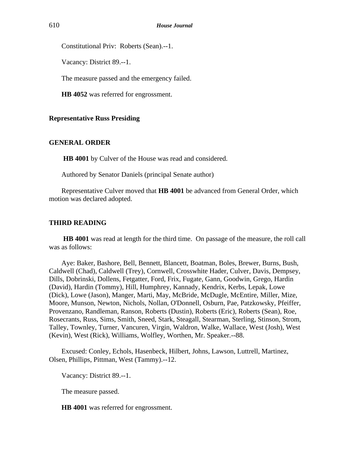Constitutional Priv: Roberts (Sean).--1.

Vacancy: District 89.--1.

The measure passed and the emergency failed.

**HB 4052** was referred for engrossment.

#### **Representative Russ Presiding**

#### **GENERAL ORDER**

**HB 4001** by Culver of the House was read and considered.

Authored by Senator Daniels (principal Senate author)

Representative Culver moved that **HB 4001** be advanced from General Order, which motion was declared adopted.

#### **THIRD READING**

**HB 4001** was read at length for the third time. On passage of the measure, the roll call was as follows:

Aye: Baker, Bashore, Bell, Bennett, Blancett, Boatman, Boles, Brewer, Burns, Bush, Caldwell (Chad), Caldwell (Trey), Cornwell, Crosswhite Hader, Culver, Davis, Dempsey, Dills, Dobrinski, Dollens, Fetgatter, Ford, Frix, Fugate, Gann, Goodwin, Grego, Hardin (David), Hardin (Tommy), Hill, Humphrey, Kannady, Kendrix, Kerbs, Lepak, Lowe (Dick), Lowe (Jason), Manger, Marti, May, McBride, McDugle, McEntire, Miller, Mize, Moore, Munson, Newton, Nichols, Nollan, O'Donnell, Osburn, Pae, Patzkowsky, Pfeiffer, Provenzano, Randleman, Ranson, Roberts (Dustin), Roberts (Eric), Roberts (Sean), Roe, Rosecrants, Russ, Sims, Smith, Sneed, Stark, Steagall, Stearman, Sterling, Stinson, Strom, Talley, Townley, Turner, Vancuren, Virgin, Waldron, Walke, Wallace, West (Josh), West (Kevin), West (Rick), Williams, Wolfley, Worthen, Mr. Speaker.--88.

Excused: Conley, Echols, Hasenbeck, Hilbert, Johns, Lawson, Luttrell, Martinez, Olsen, Phillips, Pittman, West (Tammy).--12.

Vacancy: District 89.--1.

The measure passed.

**HB 4001** was referred for engrossment.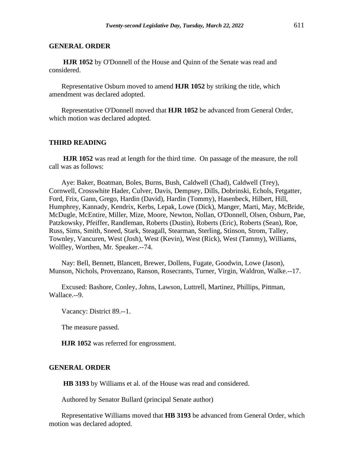#### **GENERAL ORDER**

**HJR 1052** by O'Donnell of the House and Quinn of the Senate was read and considered.

Representative Osburn moved to amend **HJR 1052** by striking the title, which amendment was declared adopted.

Representative O'Donnell moved that **HJR 1052** be advanced from General Order, which motion was declared adopted.

#### **THIRD READING**

**HJR 1052** was read at length for the third time. On passage of the measure, the roll call was as follows:

Aye: Baker, Boatman, Boles, Burns, Bush, Caldwell (Chad), Caldwell (Trey), Cornwell, Crosswhite Hader, Culver, Davis, Dempsey, Dills, Dobrinski, Echols, Fetgatter, Ford, Frix, Gann, Grego, Hardin (David), Hardin (Tommy), Hasenbeck, Hilbert, Hill, Humphrey, Kannady, Kendrix, Kerbs, Lepak, Lowe (Dick), Manger, Marti, May, McBride, McDugle, McEntire, Miller, Mize, Moore, Newton, Nollan, O'Donnell, Olsen, Osburn, Pae, Patzkowsky, Pfeiffer, Randleman, Roberts (Dustin), Roberts (Eric), Roberts (Sean), Roe, Russ, Sims, Smith, Sneed, Stark, Steagall, Stearman, Sterling, Stinson, Strom, Talley, Townley, Vancuren, West (Josh), West (Kevin), West (Rick), West (Tammy), Williams, Wolfley, Worthen, Mr. Speaker.--74.

Nay: Bell, Bennett, Blancett, Brewer, Dollens, Fugate, Goodwin, Lowe (Jason), Munson, Nichols, Provenzano, Ranson, Rosecrants, Turner, Virgin, Waldron, Walke.--17.

Excused: Bashore, Conley, Johns, Lawson, Luttrell, Martinez, Phillips, Pittman, Wallace.--9.

Vacancy: District 89.--1.

The measure passed.

**HJR 1052** was referred for engrossment.

#### **GENERAL ORDER**

**HB 3193** by Williams et al. of the House was read and considered.

Authored by Senator Bullard (principal Senate author)

Representative Williams moved that **HB 3193** be advanced from General Order, which motion was declared adopted.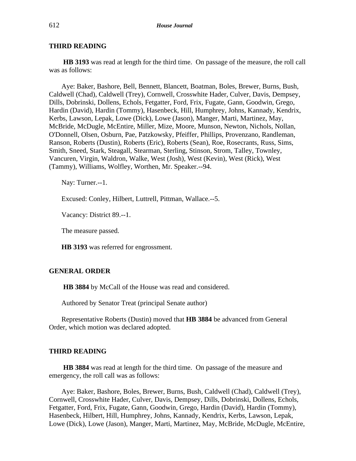**HB 3193** was read at length for the third time. On passage of the measure, the roll call was as follows:

Aye: Baker, Bashore, Bell, Bennett, Blancett, Boatman, Boles, Brewer, Burns, Bush, Caldwell (Chad), Caldwell (Trey), Cornwell, Crosswhite Hader, Culver, Davis, Dempsey, Dills, Dobrinski, Dollens, Echols, Fetgatter, Ford, Frix, Fugate, Gann, Goodwin, Grego, Hardin (David), Hardin (Tommy), Hasenbeck, Hill, Humphrey, Johns, Kannady, Kendrix, Kerbs, Lawson, Lepak, Lowe (Dick), Lowe (Jason), Manger, Marti, Martinez, May, McBride, McDugle, McEntire, Miller, Mize, Moore, Munson, Newton, Nichols, Nollan, O'Donnell, Olsen, Osburn, Pae, Patzkowsky, Pfeiffer, Phillips, Provenzano, Randleman, Ranson, Roberts (Dustin), Roberts (Eric), Roberts (Sean), Roe, Rosecrants, Russ, Sims, Smith, Sneed, Stark, Steagall, Stearman, Sterling, Stinson, Strom, Talley, Townley, Vancuren, Virgin, Waldron, Walke, West (Josh), West (Kevin), West (Rick), West (Tammy), Williams, Wolfley, Worthen, Mr. Speaker.--94.

Nay: Turner.--1.

Excused: Conley, Hilbert, Luttrell, Pittman, Wallace.--5.

Vacancy: District 89.--1.

The measure passed.

**HB 3193** was referred for engrossment.

#### **GENERAL ORDER**

**HB 3884** by McCall of the House was read and considered.

Authored by Senator Treat (principal Senate author)

Representative Roberts (Dustin) moved that **HB 3884** be advanced from General Order, which motion was declared adopted.

#### **THIRD READING**

**HB 3884** was read at length for the third time. On passage of the measure and emergency, the roll call was as follows:

Aye: Baker, Bashore, Boles, Brewer, Burns, Bush, Caldwell (Chad), Caldwell (Trey), Cornwell, Crosswhite Hader, Culver, Davis, Dempsey, Dills, Dobrinski, Dollens, Echols, Fetgatter, Ford, Frix, Fugate, Gann, Goodwin, Grego, Hardin (David), Hardin (Tommy), Hasenbeck, Hilbert, Hill, Humphrey, Johns, Kannady, Kendrix, Kerbs, Lawson, Lepak, Lowe (Dick), Lowe (Jason), Manger, Marti, Martinez, May, McBride, McDugle, McEntire,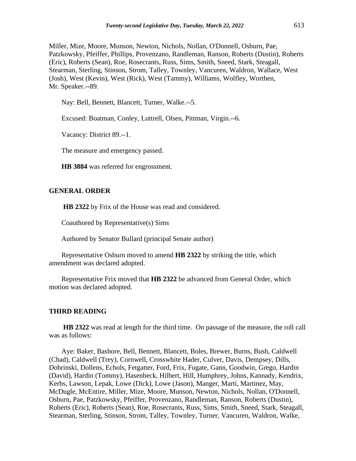Miller, Mize, Moore, Munson, Newton, Nichols, Nollan, O'Donnell, Osburn, Pae, Patzkowsky, Pfeiffer, Phillips, Provenzano, Randleman, Ranson, Roberts (Dustin), Roberts (Eric), Roberts (Sean), Roe, Rosecrants, Russ, Sims, Smith, Sneed, Stark, Steagall, Stearman, Sterling, Stinson, Strom, Talley, Townley, Vancuren, Waldron, Wallace, West (Josh), West (Kevin), West (Rick), West (Tammy), Williams, Wolfley, Worthen, Mr. Speaker.--89.

Nay: Bell, Bennett, Blancett, Turner, Walke.--5.

Excused: Boatman, Conley, Luttrell, Olsen, Pittman, Virgin.--6.

Vacancy: District 89.--1.

The measure and emergency passed.

**HB 3884** was referred for engrossment.

# **GENERAL ORDER**

**HB 2322** by Frix of the House was read and considered.

Coauthored by Representative(s) Sims

Authored by Senator Bullard (principal Senate author)

Representative Osburn moved to amend **HB 2322** by striking the title, which amendment was declared adopted.

Representative Frix moved that **HB 2322** be advanced from General Order, which motion was declared adopted.

# **THIRD READING**

**HB 2322** was read at length for the third time. On passage of the measure, the roll call was as follows:

Aye: Baker, Bashore, Bell, Bennett, Blancett, Boles, Brewer, Burns, Bush, Caldwell (Chad), Caldwell (Trey), Cornwell, Crosswhite Hader, Culver, Davis, Dempsey, Dills, Dobrinski, Dollens, Echols, Fetgatter, Ford, Frix, Fugate, Gann, Goodwin, Grego, Hardin (David), Hardin (Tommy), Hasenbeck, Hilbert, Hill, Humphrey, Johns, Kannady, Kendrix, Kerbs, Lawson, Lepak, Lowe (Dick), Lowe (Jason), Manger, Marti, Martinez, May, McDugle, McEntire, Miller, Mize, Moore, Munson, Newton, Nichols, Nollan, O'Donnell, Osburn, Pae, Patzkowsky, Pfeiffer, Provenzano, Randleman, Ranson, Roberts (Dustin), Roberts (Eric), Roberts (Sean), Roe, Rosecrants, Russ, Sims, Smith, Sneed, Stark, Steagall, Stearman, Sterling, Stinson, Strom, Talley, Townley, Turner, Vancuren, Waldron, Walke,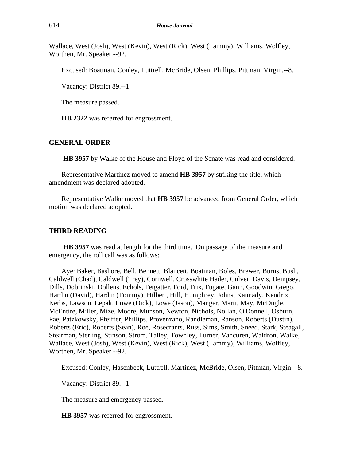Wallace, West (Josh), West (Kevin), West (Rick), West (Tammy), Williams, Wolfley, Worthen, Mr. Speaker.--92.

Excused: Boatman, Conley, Luttrell, McBride, Olsen, Phillips, Pittman, Virgin.--8.

Vacancy: District 89.--1.

The measure passed.

**HB 2322** was referred for engrossment.

# **GENERAL ORDER**

**HB 3957** by Walke of the House and Floyd of the Senate was read and considered.

Representative Martinez moved to amend **HB 3957** by striking the title, which amendment was declared adopted.

Representative Walke moved that **HB 3957** be advanced from General Order, which motion was declared adopted.

#### **THIRD READING**

**HB 3957** was read at length for the third time. On passage of the measure and emergency, the roll call was as follows:

Aye: Baker, Bashore, Bell, Bennett, Blancett, Boatman, Boles, Brewer, Burns, Bush, Caldwell (Chad), Caldwell (Trey), Cornwell, Crosswhite Hader, Culver, Davis, Dempsey, Dills, Dobrinski, Dollens, Echols, Fetgatter, Ford, Frix, Fugate, Gann, Goodwin, Grego, Hardin (David), Hardin (Tommy), Hilbert, Hill, Humphrey, Johns, Kannady, Kendrix, Kerbs, Lawson, Lepak, Lowe (Dick), Lowe (Jason), Manger, Marti, May, McDugle, McEntire, Miller, Mize, Moore, Munson, Newton, Nichols, Nollan, O'Donnell, Osburn, Pae, Patzkowsky, Pfeiffer, Phillips, Provenzano, Randleman, Ranson, Roberts (Dustin), Roberts (Eric), Roberts (Sean), Roe, Rosecrants, Russ, Sims, Smith, Sneed, Stark, Steagall, Stearman, Sterling, Stinson, Strom, Talley, Townley, Turner, Vancuren, Waldron, Walke, Wallace, West (Josh), West (Kevin), West (Rick), West (Tammy), Williams, Wolfley, Worthen, Mr. Speaker.--92.

Excused: Conley, Hasenbeck, Luttrell, Martinez, McBride, Olsen, Pittman, Virgin.--8.

Vacancy: District 89.--1.

The measure and emergency passed.

**HB 3957** was referred for engrossment.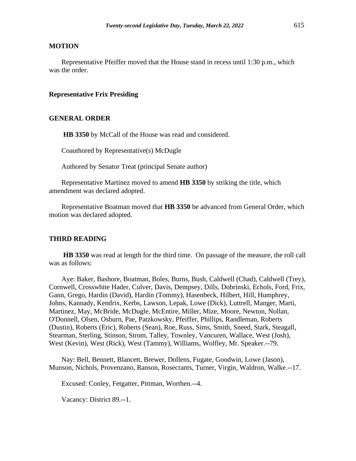# **MOTION**

Representative Pfeiffer moved that the House stand in recess until 1:30 p.m., which was the order.

# **Representative Frix Presiding**

# **GENERAL ORDER**

**HB 3350** by McCall of the House was read and considered.

Coauthored by Representative(s) McDugle

Authored by Senator Treat (principal Senate author)

Representative Martinez moved to amend **HB 3350** by striking the title, which amendment was declared adopted.

Representative Boatman moved that **HB 3350** be advanced from General Order, which motion was declared adopted.

#### **THIRD READING**

**HB 3350** was read at length for the third time. On passage of the measure, the roll call was as follows:

Aye: Baker, Bashore, Boatman, Boles, Burns, Bush, Caldwell (Chad), Caldwell (Trey), Cornwell, Crosswhite Hader, Culver, Davis, Dempsey, Dills, Dobrinski, Echols, Ford, Frix, Gann, Grego, Hardin (David), Hardin (Tommy), Hasenbeck, Hilbert, Hill, Humphrey, Johns, Kannady, Kendrix, Kerbs, Lawson, Lepak, Lowe (Dick), Luttrell, Manger, Marti, Martinez, May, McBride, McDugle, McEntire, Miller, Mize, Moore, Newton, Nollan, O'Donnell, Olsen, Osburn, Pae, Patzkowsky, Pfeiffer, Phillips, Randleman, Roberts (Dustin), Roberts (Eric), Roberts (Sean), Roe, Russ, Sims, Smith, Sneed, Stark, Steagall, Stearman, Sterling, Stinson, Strom, Talley, Townley, Vancuren, Wallace, West (Josh), West (Kevin), West (Rick), West (Tammy), Williams, Wolfley, Mr. Speaker.--79.

Nay: Bell, Bennett, Blancett, Brewer, Dollens, Fugate, Goodwin, Lowe (Jason), Munson, Nichols, Provenzano, Ranson, Rosecrants, Turner, Virgin, Waldron, Walke.--17.

Excused: Conley, Fetgatter, Pittman, Worthen.--4.

Vacancy: District 89.--1.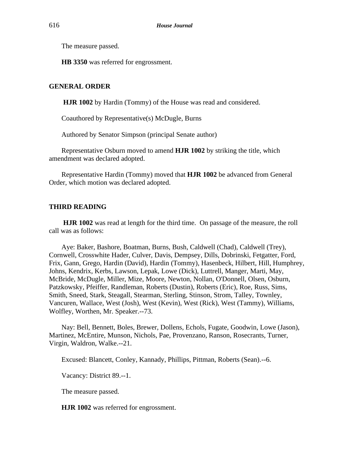The measure passed.

**HB 3350** was referred for engrossment.

# **GENERAL ORDER**

**HJR 1002** by Hardin (Tommy) of the House was read and considered.

Coauthored by Representative(s) McDugle, Burns

Authored by Senator Simpson (principal Senate author)

Representative Osburn moved to amend **HJR 1002** by striking the title, which amendment was declared adopted.

Representative Hardin (Tommy) moved that **HJR 1002** be advanced from General Order, which motion was declared adopted.

#### **THIRD READING**

**HJR 1002** was read at length for the third time. On passage of the measure, the roll call was as follows:

Aye: Baker, Bashore, Boatman, Burns, Bush, Caldwell (Chad), Caldwell (Trey), Cornwell, Crosswhite Hader, Culver, Davis, Dempsey, Dills, Dobrinski, Fetgatter, Ford, Frix, Gann, Grego, Hardin (David), Hardin (Tommy), Hasenbeck, Hilbert, Hill, Humphrey, Johns, Kendrix, Kerbs, Lawson, Lepak, Lowe (Dick), Luttrell, Manger, Marti, May, McBride, McDugle, Miller, Mize, Moore, Newton, Nollan, O'Donnell, Olsen, Osburn, Patzkowsky, Pfeiffer, Randleman, Roberts (Dustin), Roberts (Eric), Roe, Russ, Sims, Smith, Sneed, Stark, Steagall, Stearman, Sterling, Stinson, Strom, Talley, Townley, Vancuren, Wallace, West (Josh), West (Kevin), West (Rick), West (Tammy), Williams, Wolfley, Worthen, Mr. Speaker.--73.

Nay: Bell, Bennett, Boles, Brewer, Dollens, Echols, Fugate, Goodwin, Lowe (Jason), Martinez, McEntire, Munson, Nichols, Pae, Provenzano, Ranson, Rosecrants, Turner, Virgin, Waldron, Walke.--21.

Excused: Blancett, Conley, Kannady, Phillips, Pittman, Roberts (Sean).--6.

Vacancy: District 89.--1.

The measure passed.

**HJR 1002** was referred for engrossment.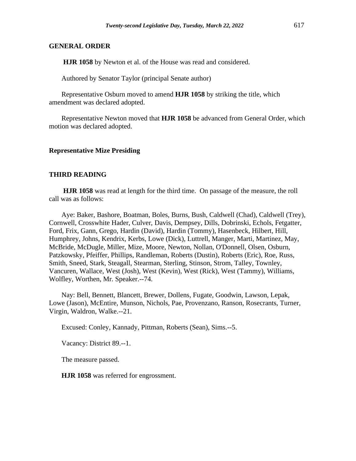#### **GENERAL ORDER**

**HJR 1058** by Newton et al. of the House was read and considered.

Authored by Senator Taylor (principal Senate author)

Representative Osburn moved to amend **HJR 1058** by striking the title, which amendment was declared adopted.

Representative Newton moved that **HJR 1058** be advanced from General Order, which motion was declared adopted.

#### **Representative Mize Presiding**

# **THIRD READING**

**HJR 1058** was read at length for the third time. On passage of the measure, the roll call was as follows:

Aye: Baker, Bashore, Boatman, Boles, Burns, Bush, Caldwell (Chad), Caldwell (Trey), Cornwell, Crosswhite Hader, Culver, Davis, Dempsey, Dills, Dobrinski, Echols, Fetgatter, Ford, Frix, Gann, Grego, Hardin (David), Hardin (Tommy), Hasenbeck, Hilbert, Hill, Humphrey, Johns, Kendrix, Kerbs, Lowe (Dick), Luttrell, Manger, Marti, Martinez, May, McBride, McDugle, Miller, Mize, Moore, Newton, Nollan, O'Donnell, Olsen, Osburn, Patzkowsky, Pfeiffer, Phillips, Randleman, Roberts (Dustin), Roberts (Eric), Roe, Russ, Smith, Sneed, Stark, Steagall, Stearman, Sterling, Stinson, Strom, Talley, Townley, Vancuren, Wallace, West (Josh), West (Kevin), West (Rick), West (Tammy), Williams, Wolfley, Worthen, Mr. Speaker.--74.

Nay: Bell, Bennett, Blancett, Brewer, Dollens, Fugate, Goodwin, Lawson, Lepak, Lowe (Jason), McEntire, Munson, Nichols, Pae, Provenzano, Ranson, Rosecrants, Turner, Virgin, Waldron, Walke.--21.

Excused: Conley, Kannady, Pittman, Roberts (Sean), Sims.--5.

Vacancy: District 89.--1.

The measure passed.

**HJR 1058** was referred for engrossment.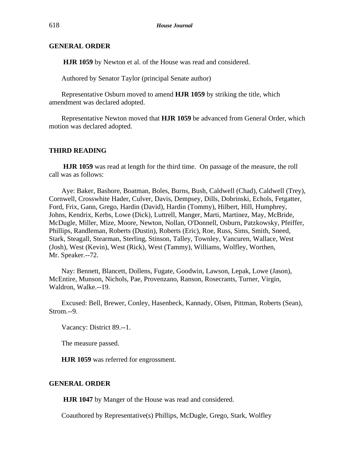# **GENERAL ORDER**

**HJR 1059** by Newton et al. of the House was read and considered.

Authored by Senator Taylor (principal Senate author)

Representative Osburn moved to amend **HJR 1059** by striking the title, which amendment was declared adopted.

Representative Newton moved that **HJR 1059** be advanced from General Order, which motion was declared adopted.

# **THIRD READING**

**HJR 1059** was read at length for the third time. On passage of the measure, the roll call was as follows:

Aye: Baker, Bashore, Boatman, Boles, Burns, Bush, Caldwell (Chad), Caldwell (Trey), Cornwell, Crosswhite Hader, Culver, Davis, Dempsey, Dills, Dobrinski, Echols, Fetgatter, Ford, Frix, Gann, Grego, Hardin (David), Hardin (Tommy), Hilbert, Hill, Humphrey, Johns, Kendrix, Kerbs, Lowe (Dick), Luttrell, Manger, Marti, Martinez, May, McBride, McDugle, Miller, Mize, Moore, Newton, Nollan, O'Donnell, Osburn, Patzkowsky, Pfeiffer, Phillips, Randleman, Roberts (Dustin), Roberts (Eric), Roe, Russ, Sims, Smith, Sneed, Stark, Steagall, Stearman, Sterling, Stinson, Talley, Townley, Vancuren, Wallace, West (Josh), West (Kevin), West (Rick), West (Tammy), Williams, Wolfley, Worthen, Mr. Speaker.--72.

Nay: Bennett, Blancett, Dollens, Fugate, Goodwin, Lawson, Lepak, Lowe (Jason), McEntire, Munson, Nichols, Pae, Provenzano, Ranson, Rosecrants, Turner, Virgin, Waldron, Walke.--19.

Excused: Bell, Brewer, Conley, Hasenbeck, Kannady, Olsen, Pittman, Roberts (Sean), Strom.--9.

Vacancy: District 89.--1.

The measure passed.

**HJR 1059** was referred for engrossment.

#### **GENERAL ORDER**

**HJR 1047** by Manger of the House was read and considered.

Coauthored by Representative(s) Phillips, McDugle, Grego, Stark, Wolfley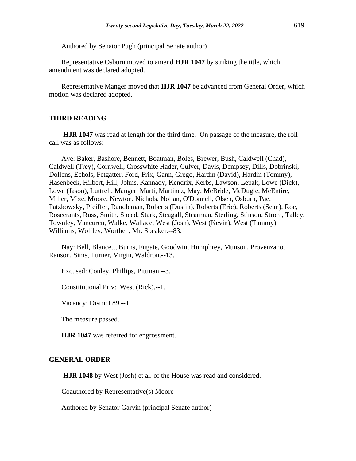Authored by Senator Pugh (principal Senate author)

Representative Osburn moved to amend **HJR 1047** by striking the title, which amendment was declared adopted.

Representative Manger moved that **HJR 1047** be advanced from General Order, which motion was declared adopted.

# **THIRD READING**

**HJR 1047** was read at length for the third time. On passage of the measure, the roll call was as follows:

Aye: Baker, Bashore, Bennett, Boatman, Boles, Brewer, Bush, Caldwell (Chad), Caldwell (Trey), Cornwell, Crosswhite Hader, Culver, Davis, Dempsey, Dills, Dobrinski, Dollens, Echols, Fetgatter, Ford, Frix, Gann, Grego, Hardin (David), Hardin (Tommy), Hasenbeck, Hilbert, Hill, Johns, Kannady, Kendrix, Kerbs, Lawson, Lepak, Lowe (Dick), Lowe (Jason), Luttrell, Manger, Marti, Martinez, May, McBride, McDugle, McEntire, Miller, Mize, Moore, Newton, Nichols, Nollan, O'Donnell, Olsen, Osburn, Pae, Patzkowsky, Pfeiffer, Randleman, Roberts (Dustin), Roberts (Eric), Roberts (Sean), Roe, Rosecrants, Russ, Smith, Sneed, Stark, Steagall, Stearman, Sterling, Stinson, Strom, Talley, Townley, Vancuren, Walke, Wallace, West (Josh), West (Kevin), West (Tammy), Williams, Wolfley, Worthen, Mr. Speaker.--83.

Nay: Bell, Blancett, Burns, Fugate, Goodwin, Humphrey, Munson, Provenzano, Ranson, Sims, Turner, Virgin, Waldron.--13.

Excused: Conley, Phillips, Pittman.--3.

Constitutional Priv: West (Rick).--1.

Vacancy: District 89.--1.

The measure passed.

**HJR 1047** was referred for engrossment.

# **GENERAL ORDER**

**HJR 1048** by West (Josh) et al. of the House was read and considered.

Coauthored by Representative(s) Moore

Authored by Senator Garvin (principal Senate author)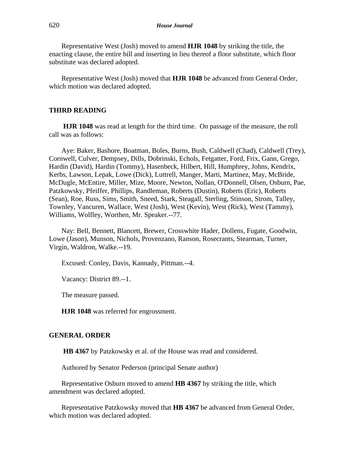Representative West (Josh) moved to amend **HJR 1048** by striking the title, the enacting clause, the entire bill and inserting in lieu thereof a floor substitute, which floor substitute was declared adopted.

Representative West (Josh) moved that **HJR 1048** be advanced from General Order, which motion was declared adopted.

# **THIRD READING**

**HJR 1048** was read at length for the third time. On passage of the measure, the roll call was as follows:

Aye: Baker, Bashore, Boatman, Boles, Burns, Bush, Caldwell (Chad), Caldwell (Trey), Cornwell, Culver, Dempsey, Dills, Dobrinski, Echols, Fetgatter, Ford, Frix, Gann, Grego, Hardin (David), Hardin (Tommy), Hasenbeck, Hilbert, Hill, Humphrey, Johns, Kendrix, Kerbs, Lawson, Lepak, Lowe (Dick), Luttrell, Manger, Marti, Martinez, May, McBride, McDugle, McEntire, Miller, Mize, Moore, Newton, Nollan, O'Donnell, Olsen, Osburn, Pae, Patzkowsky, Pfeiffer, Phillips, Randleman, Roberts (Dustin), Roberts (Eric), Roberts (Sean), Roe, Russ, Sims, Smith, Sneed, Stark, Steagall, Sterling, Stinson, Strom, Talley, Townley, Vancuren, Wallace, West (Josh), West (Kevin), West (Rick), West (Tammy), Williams, Wolfley, Worthen, Mr. Speaker.--77.

Nay: Bell, Bennett, Blancett, Brewer, Crosswhite Hader, Dollens, Fugate, Goodwin, Lowe (Jason), Munson, Nichols, Provenzano, Ranson, Rosecrants, Stearman, Turner, Virgin, Waldron, Walke.--19.

Excused: Conley, Davis, Kannady, Pittman.--4.

Vacancy: District 89.--1.

The measure passed.

**HJR 1048** was referred for engrossment.

#### **GENERAL ORDER**

**HB 4367** by Patzkowsky et al. of the House was read and considered.

Authored by Senator Pederson (principal Senate author)

Representative Osburn moved to amend **HB 4367** by striking the title, which amendment was declared adopted.

Representative Patzkowsky moved that **HB 4367** be advanced from General Order, which motion was declared adopted.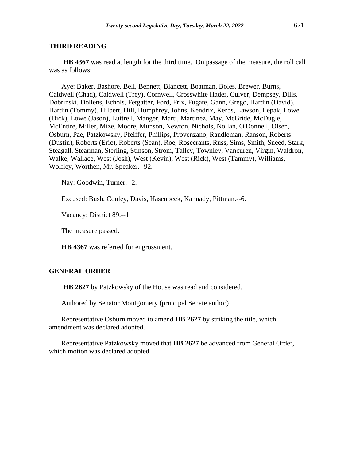**HB 4367** was read at length for the third time. On passage of the measure, the roll call was as follows:

Aye: Baker, Bashore, Bell, Bennett, Blancett, Boatman, Boles, Brewer, Burns, Caldwell (Chad), Caldwell (Trey), Cornwell, Crosswhite Hader, Culver, Dempsey, Dills, Dobrinski, Dollens, Echols, Fetgatter, Ford, Frix, Fugate, Gann, Grego, Hardin (David), Hardin (Tommy), Hilbert, Hill, Humphrey, Johns, Kendrix, Kerbs, Lawson, Lepak, Lowe (Dick), Lowe (Jason), Luttrell, Manger, Marti, Martinez, May, McBride, McDugle, McEntire, Miller, Mize, Moore, Munson, Newton, Nichols, Nollan, O'Donnell, Olsen, Osburn, Pae, Patzkowsky, Pfeiffer, Phillips, Provenzano, Randleman, Ranson, Roberts (Dustin), Roberts (Eric), Roberts (Sean), Roe, Rosecrants, Russ, Sims, Smith, Sneed, Stark, Steagall, Stearman, Sterling, Stinson, Strom, Talley, Townley, Vancuren, Virgin, Waldron, Walke, Wallace, West (Josh), West (Kevin), West (Rick), West (Tammy), Williams, Wolfley, Worthen, Mr. Speaker.--92.

Nay: Goodwin, Turner.--2.

Excused: Bush, Conley, Davis, Hasenbeck, Kannady, Pittman.--6.

Vacancy: District 89.--1.

The measure passed.

**HB 4367** was referred for engrossment.

# **GENERAL ORDER**

**HB 2627** by Patzkowsky of the House was read and considered.

Authored by Senator Montgomery (principal Senate author)

Representative Osburn moved to amend **HB 2627** by striking the title, which amendment was declared adopted.

Representative Patzkowsky moved that **HB 2627** be advanced from General Order, which motion was declared adopted.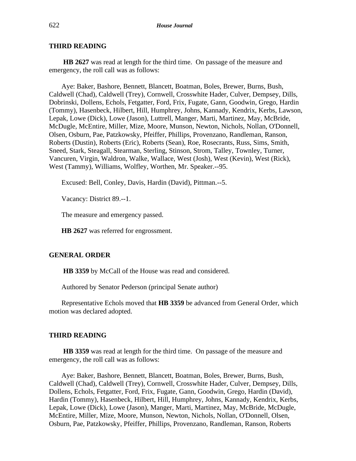**HB 2627** was read at length for the third time. On passage of the measure and emergency, the roll call was as follows:

Aye: Baker, Bashore, Bennett, Blancett, Boatman, Boles, Brewer, Burns, Bush, Caldwell (Chad), Caldwell (Trey), Cornwell, Crosswhite Hader, Culver, Dempsey, Dills, Dobrinski, Dollens, Echols, Fetgatter, Ford, Frix, Fugate, Gann, Goodwin, Grego, Hardin (Tommy), Hasenbeck, Hilbert, Hill, Humphrey, Johns, Kannady, Kendrix, Kerbs, Lawson, Lepak, Lowe (Dick), Lowe (Jason), Luttrell, Manger, Marti, Martinez, May, McBride, McDugle, McEntire, Miller, Mize, Moore, Munson, Newton, Nichols, Nollan, O'Donnell, Olsen, Osburn, Pae, Patzkowsky, Pfeiffer, Phillips, Provenzano, Randleman, Ranson, Roberts (Dustin), Roberts (Eric), Roberts (Sean), Roe, Rosecrants, Russ, Sims, Smith, Sneed, Stark, Steagall, Stearman, Sterling, Stinson, Strom, Talley, Townley, Turner, Vancuren, Virgin, Waldron, Walke, Wallace, West (Josh), West (Kevin), West (Rick), West (Tammy), Williams, Wolfley, Worthen, Mr. Speaker.--95.

Excused: Bell, Conley, Davis, Hardin (David), Pittman.--5.

Vacancy: District 89.--1.

The measure and emergency passed.

**HB 2627** was referred for engrossment.

# **GENERAL ORDER**

**HB 3359** by McCall of the House was read and considered.

Authored by Senator Pederson (principal Senate author)

Representative Echols moved that **HB 3359** be advanced from General Order, which motion was declared adopted.

#### **THIRD READING**

**HB 3359** was read at length for the third time. On passage of the measure and emergency, the roll call was as follows:

Aye: Baker, Bashore, Bennett, Blancett, Boatman, Boles, Brewer, Burns, Bush, Caldwell (Chad), Caldwell (Trey), Cornwell, Crosswhite Hader, Culver, Dempsey, Dills, Dollens, Echols, Fetgatter, Ford, Frix, Fugate, Gann, Goodwin, Grego, Hardin (David), Hardin (Tommy), Hasenbeck, Hilbert, Hill, Humphrey, Johns, Kannady, Kendrix, Kerbs, Lepak, Lowe (Dick), Lowe (Jason), Manger, Marti, Martinez, May, McBride, McDugle, McEntire, Miller, Mize, Moore, Munson, Newton, Nichols, Nollan, O'Donnell, Olsen, Osburn, Pae, Patzkowsky, Pfeiffer, Phillips, Provenzano, Randleman, Ranson, Roberts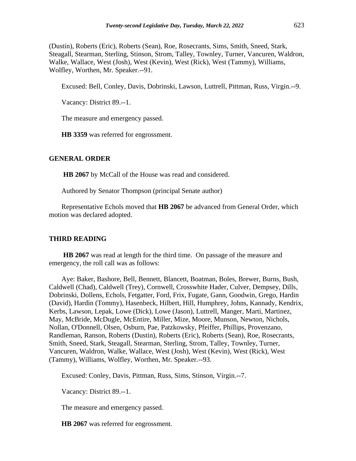(Dustin), Roberts (Eric), Roberts (Sean), Roe, Rosecrants, Sims, Smith, Sneed, Stark, Steagall, Stearman, Sterling, Stinson, Strom, Talley, Townley, Turner, Vancuren, Waldron, Walke, Wallace, West (Josh), West (Kevin), West (Rick), West (Tammy), Williams, Wolfley, Worthen, Mr. Speaker.--91.

Excused: Bell, Conley, Davis, Dobrinski, Lawson, Luttrell, Pittman, Russ, Virgin.--9.

Vacancy: District 89.--1.

The measure and emergency passed.

**HB 3359** was referred for engrossment.

#### **GENERAL ORDER**

**HB 2067** by McCall of the House was read and considered.

Authored by Senator Thompson (principal Senate author)

Representative Echols moved that **HB 2067** be advanced from General Order, which motion was declared adopted.

#### **THIRD READING**

**HB 2067** was read at length for the third time. On passage of the measure and emergency, the roll call was as follows:

Aye: Baker, Bashore, Bell, Bennett, Blancett, Boatman, Boles, Brewer, Burns, Bush, Caldwell (Chad), Caldwell (Trey), Cornwell, Crosswhite Hader, Culver, Dempsey, Dills, Dobrinski, Dollens, Echols, Fetgatter, Ford, Frix, Fugate, Gann, Goodwin, Grego, Hardin (David), Hardin (Tommy), Hasenbeck, Hilbert, Hill, Humphrey, Johns, Kannady, Kendrix, Kerbs, Lawson, Lepak, Lowe (Dick), Lowe (Jason), Luttrell, Manger, Marti, Martinez, May, McBride, McDugle, McEntire, Miller, Mize, Moore, Munson, Newton, Nichols, Nollan, O'Donnell, Olsen, Osburn, Pae, Patzkowsky, Pfeiffer, Phillips, Provenzano, Randleman, Ranson, Roberts (Dustin), Roberts (Eric), Roberts (Sean), Roe, Rosecrants, Smith, Sneed, Stark, Steagall, Stearman, Sterling, Strom, Talley, Townley, Turner, Vancuren, Waldron, Walke, Wallace, West (Josh), West (Kevin), West (Rick), West (Tammy), Williams, Wolfley, Worthen, Mr. Speaker.--93.

Excused: Conley, Davis, Pittman, Russ, Sims, Stinson, Virgin.--7.

Vacancy: District 89.--1.

The measure and emergency passed.

**HB 2067** was referred for engrossment.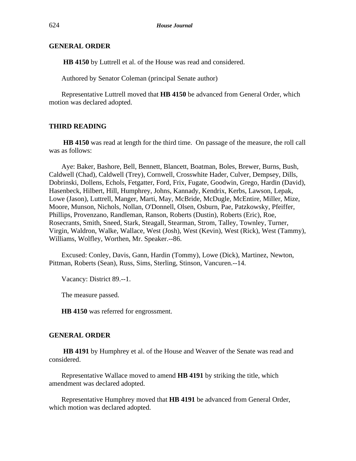# **GENERAL ORDER**

**HB 4150** by Luttrell et al. of the House was read and considered.

Authored by Senator Coleman (principal Senate author)

Representative Luttrell moved that **HB 4150** be advanced from General Order, which motion was declared adopted.

# **THIRD READING**

**HB 4150** was read at length for the third time. On passage of the measure, the roll call was as follows:

Aye: Baker, Bashore, Bell, Bennett, Blancett, Boatman, Boles, Brewer, Burns, Bush, Caldwell (Chad), Caldwell (Trey), Cornwell, Crosswhite Hader, Culver, Dempsey, Dills, Dobrinski, Dollens, Echols, Fetgatter, Ford, Frix, Fugate, Goodwin, Grego, Hardin (David), Hasenbeck, Hilbert, Hill, Humphrey, Johns, Kannady, Kendrix, Kerbs, Lawson, Lepak, Lowe (Jason), Luttrell, Manger, Marti, May, McBride, McDugle, McEntire, Miller, Mize, Moore, Munson, Nichols, Nollan, O'Donnell, Olsen, Osburn, Pae, Patzkowsky, Pfeiffer, Phillips, Provenzano, Randleman, Ranson, Roberts (Dustin), Roberts (Eric), Roe, Rosecrants, Smith, Sneed, Stark, Steagall, Stearman, Strom, Talley, Townley, Turner, Virgin, Waldron, Walke, Wallace, West (Josh), West (Kevin), West (Rick), West (Tammy), Williams, Wolfley, Worthen, Mr. Speaker.--86.

Excused: Conley, Davis, Gann, Hardin (Tommy), Lowe (Dick), Martinez, Newton, Pittman, Roberts (Sean), Russ, Sims, Sterling, Stinson, Vancuren.--14.

Vacancy: District 89.--1.

The measure passed.

**HB 4150** was referred for engrossment.

#### **GENERAL ORDER**

**HB 4191** by Humphrey et al. of the House and Weaver of the Senate was read and considered.

Representative Wallace moved to amend **HB 4191** by striking the title, which amendment was declared adopted.

Representative Humphrey moved that **HB 4191** be advanced from General Order, which motion was declared adopted.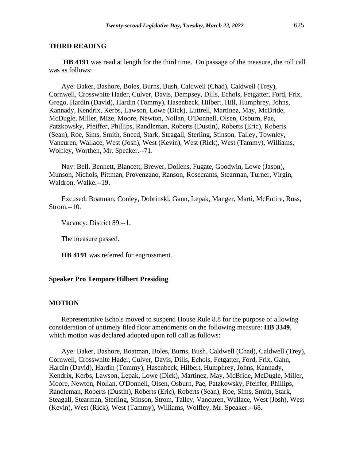**HB 4191** was read at length for the third time. On passage of the measure, the roll call was as follows:

Aye: Baker, Bashore, Boles, Burns, Bush, Caldwell (Chad), Caldwell (Trey), Cornwell, Crosswhite Hader, Culver, Davis, Dempsey, Dills, Echols, Fetgatter, Ford, Frix, Grego, Hardin (David), Hardin (Tommy), Hasenbeck, Hilbert, Hill, Humphrey, Johns, Kannady, Kendrix, Kerbs, Lawson, Lowe (Dick), Luttrell, Martinez, May, McBride, McDugle, Miller, Mize, Moore, Newton, Nollan, O'Donnell, Olsen, Osburn, Pae, Patzkowsky, Pfeiffer, Phillips, Randleman, Roberts (Dustin), Roberts (Eric), Roberts (Sean), Roe, Sims, Smith, Sneed, Stark, Steagall, Sterling, Stinson, Talley, Townley, Vancuren, Wallace, West (Josh), West (Kevin), West (Rick), West (Tammy), Williams, Wolfley, Worthen, Mr. Speaker.--71.

Nay: Bell, Bennett, Blancett, Brewer, Dollens, Fugate, Goodwin, Lowe (Jason), Munson, Nichols, Pittman, Provenzano, Ranson, Rosecrants, Stearman, Turner, Virgin, Waldron, Walke.--19.

Excused: Boatman, Conley, Dobrinski, Gann, Lepak, Manger, Marti, McEntire, Russ, Strom.--10.

Vacancy: District 89.--1.

The measure passed.

**HB 4191** was referred for engrossment.

#### **Speaker Pro Tempore Hilbert Presiding**

#### **MOTION**

Representative Echols moved to suspend House Rule 8.8 for the purpose of allowing consideration of untimely filed floor amendments on the following measure: **HB 3349**, which motion was declared adopted upon roll call as follows:

Aye: Baker, Bashore, Boatman, Boles, Burns, Bush, Caldwell (Chad), Caldwell (Trey), Cornwell, Crosswhite Hader, Culver, Davis, Dills, Echols, Fetgatter, Ford, Frix, Gann, Hardin (David), Hardin (Tommy), Hasenbeck, Hilbert, Humphrey, Johns, Kannady, Kendrix, Kerbs, Lawson, Lepak, Lowe (Dick), Martinez, May, McBride, McDugle, Miller, Moore, Newton, Nollan, O'Donnell, Olsen, Osburn, Pae, Patzkowsky, Pfeiffer, Phillips, Randleman, Roberts (Dustin), Roberts (Eric), Roberts (Sean), Roe, Sims, Smith, Stark, Steagall, Stearman, Sterling, Stinson, Strom, Talley, Vancuren, Wallace, West (Josh), West (Kevin), West (Rick), West (Tammy), Williams, Wolfley, Mr. Speaker.--68.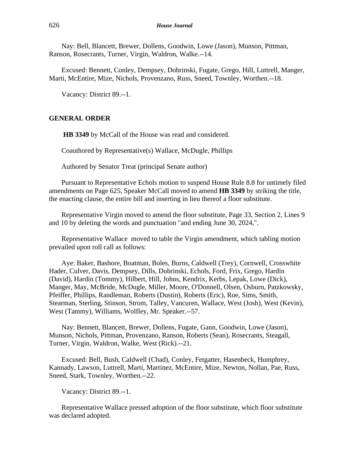Nay: Bell, Blancett, Brewer, Dollens, Goodwin, Lowe (Jason), Munson, Pittman, Ranson, Rosecrants, Turner, Virgin, Waldron, Walke.--14.

Excused: Bennett, Conley, Dempsey, Dobrinski, Fugate, Grego, Hill, Luttrell, Manger, Marti, McEntire, Mize, Nichols, Provenzano, Russ, Sneed, Townley, Worthen.--18.

Vacancy: District 89.--1.

#### **GENERAL ORDER**

**HB 3349** by McCall of the House was read and considered.

Coauthored by Representative(s) Wallace, McDugle, Phillips

Authored by Senator Treat (principal Senate author)

Pursuant to Representative Echols motion to suspend House Rule 8.8 for untimely filed amendments on Page 625, Speaker McCall moved to amend **HB 3349** by striking the title, the enacting clause, the entire bill and inserting in lieu thereof a floor substitute.

Representative Virgin moved to amend the floor substitute, Page 33, Section 2, Lines 9 and 10 by deleting the words and punctuation "and ending June 30, 2024,".

Representative Wallace moved to table the Virgin amendment, which tabling motion prevailed upon roll call as follows:

Aye: Baker, Bashore, Boatman, Boles, Burns, Caldwell (Trey), Cornwell, Crosswhite Hader, Culver, Davis, Dempsey, Dills, Dobrinski, Echols, Ford, Frix, Grego, Hardin (David), Hardin (Tommy), Hilbert, Hill, Johns, Kendrix, Kerbs, Lepak, Lowe (Dick), Manger, May, McBride, McDugle, Miller, Moore, O'Donnell, Olsen, Osburn, Patzkowsky, Pfeiffer, Phillips, Randleman, Roberts (Dustin), Roberts (Eric), Roe, Sims, Smith, Stearman, Sterling, Stinson, Strom, Talley, Vancuren, Wallace, West (Josh), West (Kevin), West (Tammy), Williams, Wolfley, Mr. Speaker.--57.

Nay: Bennett, Blancett, Brewer, Dollens, Fugate, Gann, Goodwin, Lowe (Jason), Munson, Nichols, Pittman, Provenzano, Ranson, Roberts (Sean), Rosecrants, Steagall, Turner, Virgin, Waldron, Walke, West (Rick).--21.

Excused: Bell, Bush, Caldwell (Chad), Conley, Fetgatter, Hasenbeck, Humphrey, Kannady, Lawson, Luttrell, Marti, Martinez, McEntire, Mize, Newton, Nollan, Pae, Russ, Sneed, Stark, Townley, Worthen.--22.

Vacancy: District 89.--1.

Representative Wallace pressed adoption of the floor substitute, which floor substitute was declared adopted.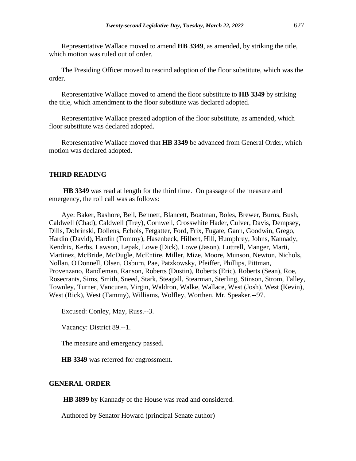Representative Wallace moved to amend **HB 3349**, as amended, by striking the title, which motion was ruled out of order.

The Presiding Officer moved to rescind adoption of the floor substitute, which was the order.

Representative Wallace moved to amend the floor substitute to **HB 3349** by striking the title, which amendment to the floor substitute was declared adopted.

Representative Wallace pressed adoption of the floor substitute, as amended, which floor substitute was declared adopted.

Representative Wallace moved that **HB 3349** be advanced from General Order, which motion was declared adopted.

# **THIRD READING**

**HB 3349** was read at length for the third time. On passage of the measure and emergency, the roll call was as follows:

Aye: Baker, Bashore, Bell, Bennett, Blancett, Boatman, Boles, Brewer, Burns, Bush, Caldwell (Chad), Caldwell (Trey), Cornwell, Crosswhite Hader, Culver, Davis, Dempsey, Dills, Dobrinski, Dollens, Echols, Fetgatter, Ford, Frix, Fugate, Gann, Goodwin, Grego, Hardin (David), Hardin (Tommy), Hasenbeck, Hilbert, Hill, Humphrey, Johns, Kannady, Kendrix, Kerbs, Lawson, Lepak, Lowe (Dick), Lowe (Jason), Luttrell, Manger, Marti, Martinez, McBride, McDugle, McEntire, Miller, Mize, Moore, Munson, Newton, Nichols, Nollan, O'Donnell, Olsen, Osburn, Pae, Patzkowsky, Pfeiffer, Phillips, Pittman, Provenzano, Randleman, Ranson, Roberts (Dustin), Roberts (Eric), Roberts (Sean), Roe, Rosecrants, Sims, Smith, Sneed, Stark, Steagall, Stearman, Sterling, Stinson, Strom, Talley, Townley, Turner, Vancuren, Virgin, Waldron, Walke, Wallace, West (Josh), West (Kevin), West (Rick), West (Tammy), Williams, Wolfley, Worthen, Mr. Speaker.--97.

Excused: Conley, May, Russ.--3.

Vacancy: District 89.--1.

The measure and emergency passed.

**HB 3349** was referred for engrossment.

#### **GENERAL ORDER**

**HB 3899** by Kannady of the House was read and considered.

Authored by Senator Howard (principal Senate author)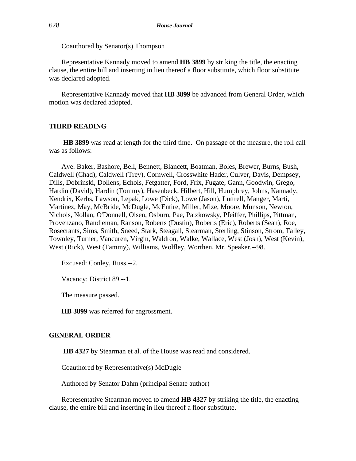Coauthored by Senator(s) Thompson

Representative Kannady moved to amend **HB 3899** by striking the title, the enacting clause, the entire bill and inserting in lieu thereof a floor substitute, which floor substitute was declared adopted.

Representative Kannady moved that **HB 3899** be advanced from General Order, which motion was declared adopted.

# **THIRD READING**

**HB 3899** was read at length for the third time. On passage of the measure, the roll call was as follows:

Aye: Baker, Bashore, Bell, Bennett, Blancett, Boatman, Boles, Brewer, Burns, Bush, Caldwell (Chad), Caldwell (Trey), Cornwell, Crosswhite Hader, Culver, Davis, Dempsey, Dills, Dobrinski, Dollens, Echols, Fetgatter, Ford, Frix, Fugate, Gann, Goodwin, Grego, Hardin (David), Hardin (Tommy), Hasenbeck, Hilbert, Hill, Humphrey, Johns, Kannady, Kendrix, Kerbs, Lawson, Lepak, Lowe (Dick), Lowe (Jason), Luttrell, Manger, Marti, Martinez, May, McBride, McDugle, McEntire, Miller, Mize, Moore, Munson, Newton, Nichols, Nollan, O'Donnell, Olsen, Osburn, Pae, Patzkowsky, Pfeiffer, Phillips, Pittman, Provenzano, Randleman, Ranson, Roberts (Dustin), Roberts (Eric), Roberts (Sean), Roe, Rosecrants, Sims, Smith, Sneed, Stark, Steagall, Stearman, Sterling, Stinson, Strom, Talley, Townley, Turner, Vancuren, Virgin, Waldron, Walke, Wallace, West (Josh), West (Kevin), West (Rick), West (Tammy), Williams, Wolfley, Worthen, Mr. Speaker.--98.

Excused: Conley, Russ.--2.

Vacancy: District 89.--1.

The measure passed.

**HB 3899** was referred for engrossment.

#### **GENERAL ORDER**

**HB 4327** by Stearman et al. of the House was read and considered.

Coauthored by Representative(s) McDugle

Authored by Senator Dahm (principal Senate author)

Representative Stearman moved to amend **HB 4327** by striking the title, the enacting clause, the entire bill and inserting in lieu thereof a floor substitute.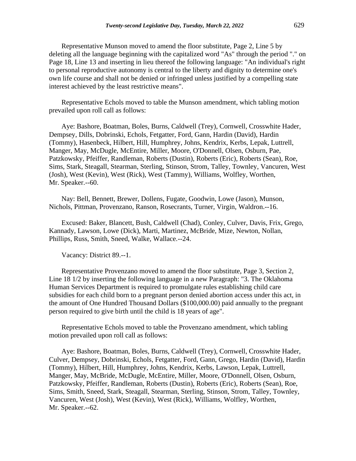Representative Munson moved to amend the floor substitute, Page 2, Line 5 by deleting all the language beginning with the capitalized word "As" through the period "." on Page 18, Line 13 and inserting in lieu thereof the following language: "An individual's right to personal reproductive autonomy is central to the liberty and dignity to determine one's own life course and shall not be denied or infringed unless justified by a compelling state interest achieved by the least restrictive means".

Representative Echols moved to table the Munson amendment, which tabling motion prevailed upon roll call as follows:

Aye: Bashore, Boatman, Boles, Burns, Caldwell (Trey), Cornwell, Crosswhite Hader, Dempsey, Dills, Dobrinski, Echols, Fetgatter, Ford, Gann, Hardin (David), Hardin (Tommy), Hasenbeck, Hilbert, Hill, Humphrey, Johns, Kendrix, Kerbs, Lepak, Luttrell, Manger, May, McDugle, McEntire, Miller, Moore, O'Donnell, Olsen, Osburn, Pae, Patzkowsky, Pfeiffer, Randleman, Roberts (Dustin), Roberts (Eric), Roberts (Sean), Roe, Sims, Stark, Steagall, Stearman, Sterling, Stinson, Strom, Talley, Townley, Vancuren, West (Josh), West (Kevin), West (Rick), West (Tammy), Williams, Wolfley, Worthen, Mr. Speaker.--60.

Nay: Bell, Bennett, Brewer, Dollens, Fugate, Goodwin, Lowe (Jason), Munson, Nichols, Pittman, Provenzano, Ranson, Rosecrants, Turner, Virgin, Waldron.--16.

Excused: Baker, Blancett, Bush, Caldwell (Chad), Conley, Culver, Davis, Frix, Grego, Kannady, Lawson, Lowe (Dick), Marti, Martinez, McBride, Mize, Newton, Nollan, Phillips, Russ, Smith, Sneed, Walke, Wallace.--24.

Vacancy: District 89.--1.

Representative Provenzano moved to amend the floor substitute, Page 3, Section 2, Line 18 1/2 by inserting the following language in a new Paragraph: "3. The Oklahoma Human Services Department is required to promulgate rules establishing child care subsidies for each child born to a pregnant person denied abortion access under this act, in the amount of One Hundred Thousand Dollars (\$100,000.00) paid annually to the pregnant person required to give birth until the child is 18 years of age".

Representative Echols moved to table the Provenzano amendment, which tabling motion prevailed upon roll call as follows:

Aye: Bashore, Boatman, Boles, Burns, Caldwell (Trey), Cornwell, Crosswhite Hader, Culver, Dempsey, Dobrinski, Echols, Fetgatter, Ford, Gann, Grego, Hardin (David), Hardin (Tommy), Hilbert, Hill, Humphrey, Johns, Kendrix, Kerbs, Lawson, Lepak, Luttrell, Manger, May, McBride, McDugle, McEntire, Miller, Moore, O'Donnell, Olsen, Osburn, Patzkowsky, Pfeiffer, Randleman, Roberts (Dustin), Roberts (Eric), Roberts (Sean), Roe, Sims, Smith, Sneed, Stark, Steagall, Stearman, Sterling, Stinson, Strom, Talley, Townley, Vancuren, West (Josh), West (Kevin), West (Rick), Williams, Wolfley, Worthen, Mr. Speaker.--62.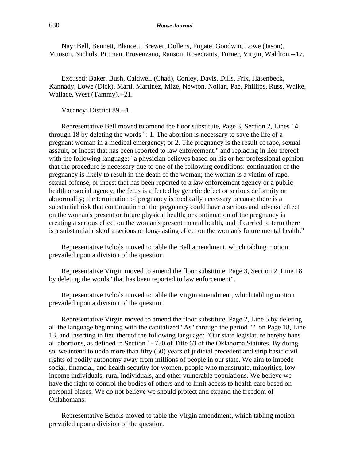Nay: Bell, Bennett, Blancett, Brewer, Dollens, Fugate, Goodwin, Lowe (Jason), Munson, Nichols, Pittman, Provenzano, Ranson, Rosecrants, Turner, Virgin, Waldron.--17.

Excused: Baker, Bush, Caldwell (Chad), Conley, Davis, Dills, Frix, Hasenbeck, Kannady, Lowe (Dick), Marti, Martinez, Mize, Newton, Nollan, Pae, Phillips, Russ, Walke, Wallace, West (Tammy).--21.

Vacancy: District 89.--1.

Representative Bell moved to amend the floor substitute, Page 3, Section 2, Lines 14 through 18 by deleting the words ": 1. The abortion is necessary to save the life of a pregnant woman in a medical emergency; or 2. The pregnancy is the result of rape, sexual assault, or incest that has been reported to law enforcement." and replacing in lieu thereof with the following language: "a physician believes based on his or her professional opinion that the procedure is necessary due to one of the following conditions: continuation of the pregnancy is likely to result in the death of the woman; the woman is a victim of rape, sexual offense, or incest that has been reported to a law enforcement agency or a public health or social agency; the fetus is affected by genetic defect or serious deformity or abnormality; the termination of pregnancy is medically necessary because there is a substantial risk that continuation of the pregnancy could have a serious and adverse effect on the woman's present or future physical health; or continuation of the pregnancy is creating a serious effect on the woman's present mental health, and if carried to term there is a substantial risk of a serious or long-lasting effect on the woman's future mental health."

Representative Echols moved to table the Bell amendment, which tabling motion prevailed upon a division of the question.

Representative Virgin moved to amend the floor substitute, Page 3, Section 2, Line 18 by deleting the words "that has been reported to law enforcement".

Representative Echols moved to table the Virgin amendment, which tabling motion prevailed upon a division of the question.

Representative Virgin moved to amend the floor substitute, Page 2, Line 5 by deleting all the language beginning with the capitalized "As" through the period "." on Page 18, Line 13, and inserting in lieu thereof the following language: "Our state legislature hereby bans all abortions, as defined in Section 1- 730 of Title 63 of the Oklahoma Statutes. By doing so, we intend to undo more than fifty (50) years of judicial precedent and strip basic civil rights of bodily autonomy away from millions of people in our state. We aim to impede social, financial, and health security for women, people who menstruate, minorities, low income individuals, rural individuals, and other vulnerable populations. We believe we have the right to control the bodies of others and to limit access to health care based on personal biases. We do not believe we should protect and expand the freedom of Oklahomans.

Representative Echols moved to table the Virgin amendment, which tabling motion prevailed upon a division of the question.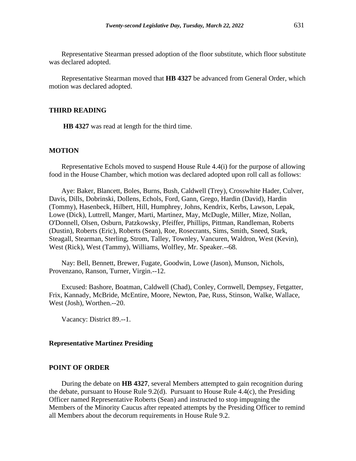Representative Stearman pressed adoption of the floor substitute, which floor substitute was declared adopted.

Representative Stearman moved that **HB 4327** be advanced from General Order, which motion was declared adopted.

#### **THIRD READING**

**HB 4327** was read at length for the third time.

# **MOTION**

Representative Echols moved to suspend House Rule 4.4(i) for the purpose of allowing food in the House Chamber, which motion was declared adopted upon roll call as follows:

Aye: Baker, Blancett, Boles, Burns, Bush, Caldwell (Trey), Crosswhite Hader, Culver, Davis, Dills, Dobrinski, Dollens, Echols, Ford, Gann, Grego, Hardin (David), Hardin (Tommy), Hasenbeck, Hilbert, Hill, Humphrey, Johns, Kendrix, Kerbs, Lawson, Lepak, Lowe (Dick), Luttrell, Manger, Marti, Martinez, May, McDugle, Miller, Mize, Nollan, O'Donnell, Olsen, Osburn, Patzkowsky, Pfeiffer, Phillips, Pittman, Randleman, Roberts (Dustin), Roberts (Eric), Roberts (Sean), Roe, Rosecrants, Sims, Smith, Sneed, Stark, Steagall, Stearman, Sterling, Strom, Talley, Townley, Vancuren, Waldron, West (Kevin), West (Rick), West (Tammy), Williams, Wolfley, Mr. Speaker.--68.

Nay: Bell, Bennett, Brewer, Fugate, Goodwin, Lowe (Jason), Munson, Nichols, Provenzano, Ranson, Turner, Virgin.--12.

Excused: Bashore, Boatman, Caldwell (Chad), Conley, Cornwell, Dempsey, Fetgatter, Frix, Kannady, McBride, McEntire, Moore, Newton, Pae, Russ, Stinson, Walke, Wallace, West (Josh), Worthen.--20.

Vacancy: District 89.--1.

#### **Representative Martinez Presiding**

#### **POINT OF ORDER**

During the debate on **HB 4327**, several Members attempted to gain recognition during the debate, pursuant to House Rule 9.2(d). Pursuant to House Rule 4.4(c), the Presiding Officer named Representative Roberts (Sean) and instructed to stop impugning the Members of the Minority Caucus after repeated attempts by the Presiding Officer to remind all Members about the decorum requirements in House Rule 9.2.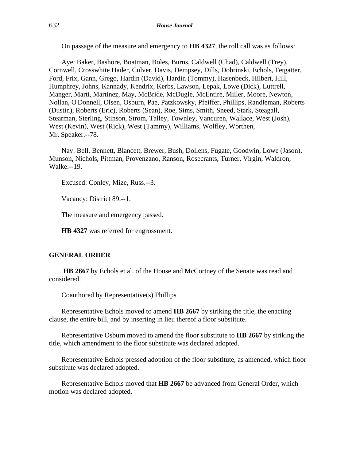On passage of the measure and emergency to **HB 4327**, the roll call was as follows:

Aye: Baker, Bashore, Boatman, Boles, Burns, Caldwell (Chad), Caldwell (Trey), Cornwell, Crosswhite Hader, Culver, Davis, Dempsey, Dills, Dobrinski, Echols, Fetgatter, Ford, Frix, Gann, Grego, Hardin (David), Hardin (Tommy), Hasenbeck, Hilbert, Hill, Humphrey, Johns, Kannady, Kendrix, Kerbs, Lawson, Lepak, Lowe (Dick), Luttrell, Manger, Marti, Martinez, May, McBride, McDugle, McEntire, Miller, Moore, Newton, Nollan, O'Donnell, Olsen, Osburn, Pae, Patzkowsky, Pfeiffer, Phillips, Randleman, Roberts (Dustin), Roberts (Eric), Roberts (Sean), Roe, Sims, Smith, Sneed, Stark, Steagall, Stearman, Sterling, Stinson, Strom, Talley, Townley, Vancuren, Wallace, West (Josh), West (Kevin), West (Rick), West (Tammy), Williams, Wolfley, Worthen, Mr. Speaker.--78.

Nay: Bell, Bennett, Blancett, Brewer, Bush, Dollens, Fugate, Goodwin, Lowe (Jason), Munson, Nichols, Pittman, Provenzano, Ranson, Rosecrants, Turner, Virgin, Waldron, Walke.--19.

Excused: Conley, Mize, Russ.--3.

Vacancy: District 89.--1.

The measure and emergency passed.

**HB 4327** was referred for engrossment.

# **GENERAL ORDER**

**HB 2667** by Echols et al. of the House and McCortney of the Senate was read and considered.

Coauthored by Representative(s) Phillips

Representative Echols moved to amend **HB 2667** by striking the title, the enacting clause, the entire bill, and by inserting in lieu thereof a floor substitute.

Representative Osburn moved to amend the floor substitute to **HB 2667** by striking the title, which amendment to the floor substitute was declared adopted.

Representative Echols pressed adoption of the floor substitute, as amended, which floor substitute was declared adopted.

Representative Echols moved that **HB 2667** be advanced from General Order, which motion was declared adopted.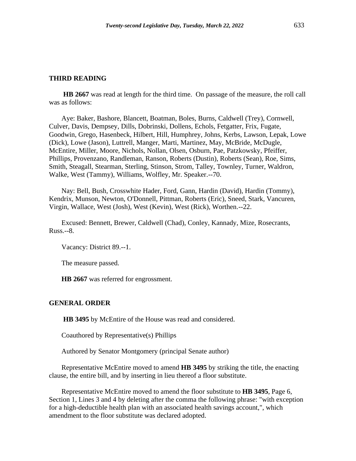**HB 2667** was read at length for the third time. On passage of the measure, the roll call was as follows:

Aye: Baker, Bashore, Blancett, Boatman, Boles, Burns, Caldwell (Trey), Cornwell, Culver, Davis, Dempsey, Dills, Dobrinski, Dollens, Echols, Fetgatter, Frix, Fugate, Goodwin, Grego, Hasenbeck, Hilbert, Hill, Humphrey, Johns, Kerbs, Lawson, Lepak, Lowe (Dick), Lowe (Jason), Luttrell, Manger, Marti, Martinez, May, McBride, McDugle, McEntire, Miller, Moore, Nichols, Nollan, Olsen, Osburn, Pae, Patzkowsky, Pfeiffer, Phillips, Provenzano, Randleman, Ranson, Roberts (Dustin), Roberts (Sean), Roe, Sims, Smith, Steagall, Stearman, Sterling, Stinson, Strom, Talley, Townley, Turner, Waldron, Walke, West (Tammy), Williams, Wolfley, Mr. Speaker.--70.

Nay: Bell, Bush, Crosswhite Hader, Ford, Gann, Hardin (David), Hardin (Tommy), Kendrix, Munson, Newton, O'Donnell, Pittman, Roberts (Eric), Sneed, Stark, Vancuren, Virgin, Wallace, West (Josh), West (Kevin), West (Rick), Worthen.--22.

Excused: Bennett, Brewer, Caldwell (Chad), Conley, Kannady, Mize, Rosecrants, Russ.--8.

Vacancy: District 89.--1.

The measure passed.

**HB 2667** was referred for engrossment.

#### **GENERAL ORDER**

**HB 3495** by McEntire of the House was read and considered.

Coauthored by Representative(s) Phillips

Authored by Senator Montgomery (principal Senate author)

Representative McEntire moved to amend **HB 3495** by striking the title, the enacting clause, the entire bill, and by inserting in lieu thereof a floor substitute.

Representative McEntire moved to amend the floor substitute to **HB 3495**, Page 6, Section 1, Lines 3 and 4 by deleting after the comma the following phrase: "with exception for a high-deductible health plan with an associated health savings account,", which amendment to the floor substitute was declared adopted.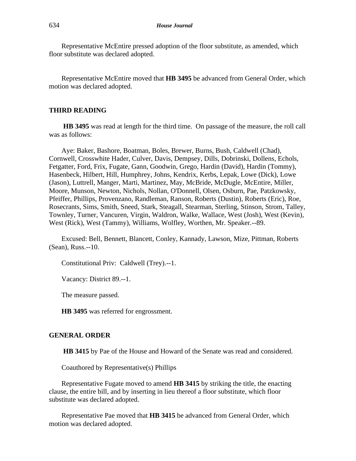Representative McEntire pressed adoption of the floor substitute, as amended, which floor substitute was declared adopted.

Representative McEntire moved that **HB 3495** be advanced from General Order, which motion was declared adopted.

#### **THIRD READING**

**HB 3495** was read at length for the third time. On passage of the measure, the roll call was as follows:

Aye: Baker, Bashore, Boatman, Boles, Brewer, Burns, Bush, Caldwell (Chad), Cornwell, Crosswhite Hader, Culver, Davis, Dempsey, Dills, Dobrinski, Dollens, Echols, Fetgatter, Ford, Frix, Fugate, Gann, Goodwin, Grego, Hardin (David), Hardin (Tommy), Hasenbeck, Hilbert, Hill, Humphrey, Johns, Kendrix, Kerbs, Lepak, Lowe (Dick), Lowe (Jason), Luttrell, Manger, Marti, Martinez, May, McBride, McDugle, McEntire, Miller, Moore, Munson, Newton, Nichols, Nollan, O'Donnell, Olsen, Osburn, Pae, Patzkowsky, Pfeiffer, Phillips, Provenzano, Randleman, Ranson, Roberts (Dustin), Roberts (Eric), Roe, Rosecrants, Sims, Smith, Sneed, Stark, Steagall, Stearman, Sterling, Stinson, Strom, Talley, Townley, Turner, Vancuren, Virgin, Waldron, Walke, Wallace, West (Josh), West (Kevin), West (Rick), West (Tammy), Williams, Wolfley, Worthen, Mr. Speaker.--89.

Excused: Bell, Bennett, Blancett, Conley, Kannady, Lawson, Mize, Pittman, Roberts (Sean), Russ.--10.

Constitutional Priv: Caldwell (Trey).--1.

Vacancy: District 89.--1.

The measure passed.

**HB 3495** was referred for engrossment.

#### **GENERAL ORDER**

**HB 3415** by Pae of the House and Howard of the Senate was read and considered.

Coauthored by Representative(s) Phillips

Representative Fugate moved to amend **HB 3415** by striking the title, the enacting clause, the entire bill, and by inserting in lieu thereof a floor substitute, which floor substitute was declared adopted.

Representative Pae moved that **HB 3415** be advanced from General Order, which motion was declared adopted.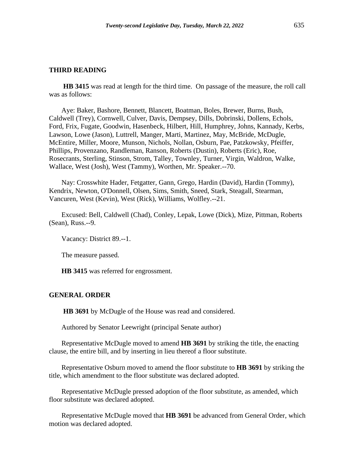**HB 3415** was read at length for the third time. On passage of the measure, the roll call was as follows:

Aye: Baker, Bashore, Bennett, Blancett, Boatman, Boles, Brewer, Burns, Bush, Caldwell (Trey), Cornwell, Culver, Davis, Dempsey, Dills, Dobrinski, Dollens, Echols, Ford, Frix, Fugate, Goodwin, Hasenbeck, Hilbert, Hill, Humphrey, Johns, Kannady, Kerbs, Lawson, Lowe (Jason), Luttrell, Manger, Marti, Martinez, May, McBride, McDugle, McEntire, Miller, Moore, Munson, Nichols, Nollan, Osburn, Pae, Patzkowsky, Pfeiffer, Phillips, Provenzano, Randleman, Ranson, Roberts (Dustin), Roberts (Eric), Roe, Rosecrants, Sterling, Stinson, Strom, Talley, Townley, Turner, Virgin, Waldron, Walke, Wallace, West (Josh), West (Tammy), Worthen, Mr. Speaker.--70.

Nay: Crosswhite Hader, Fetgatter, Gann, Grego, Hardin (David), Hardin (Tommy), Kendrix, Newton, O'Donnell, Olsen, Sims, Smith, Sneed, Stark, Steagall, Stearman, Vancuren, West (Kevin), West (Rick), Williams, Wolfley.--21.

Excused: Bell, Caldwell (Chad), Conley, Lepak, Lowe (Dick), Mize, Pittman, Roberts (Sean), Russ.--9.

Vacancy: District 89.--1.

The measure passed.

**HB 3415** was referred for engrossment.

#### **GENERAL ORDER**

**HB 3691** by McDugle of the House was read and considered.

Authored by Senator Leewright (principal Senate author)

Representative McDugle moved to amend **HB 3691** by striking the title, the enacting clause, the entire bill, and by inserting in lieu thereof a floor substitute.

Representative Osburn moved to amend the floor substitute to **HB 3691** by striking the title, which amendment to the floor substitute was declared adopted.

Representative McDugle pressed adoption of the floor substitute, as amended, which floor substitute was declared adopted.

Representative McDugle moved that **HB 3691** be advanced from General Order, which motion was declared adopted.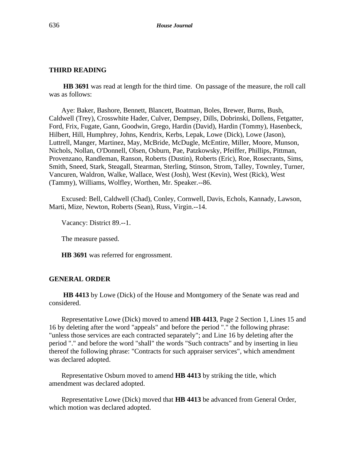**HB 3691** was read at length for the third time. On passage of the measure, the roll call was as follows:

Aye: Baker, Bashore, Bennett, Blancett, Boatman, Boles, Brewer, Burns, Bush, Caldwell (Trey), Crosswhite Hader, Culver, Dempsey, Dills, Dobrinski, Dollens, Fetgatter, Ford, Frix, Fugate, Gann, Goodwin, Grego, Hardin (David), Hardin (Tommy), Hasenbeck, Hilbert, Hill, Humphrey, Johns, Kendrix, Kerbs, Lepak, Lowe (Dick), Lowe (Jason), Luttrell, Manger, Martinez, May, McBride, McDugle, McEntire, Miller, Moore, Munson, Nichols, Nollan, O'Donnell, Olsen, Osburn, Pae, Patzkowsky, Pfeiffer, Phillips, Pittman, Provenzano, Randleman, Ranson, Roberts (Dustin), Roberts (Eric), Roe, Rosecrants, Sims, Smith, Sneed, Stark, Steagall, Stearman, Sterling, Stinson, Strom, Talley, Townley, Turner, Vancuren, Waldron, Walke, Wallace, West (Josh), West (Kevin), West (Rick), West (Tammy), Williams, Wolfley, Worthen, Mr. Speaker.--86.

Excused: Bell, Caldwell (Chad), Conley, Cornwell, Davis, Echols, Kannady, Lawson, Marti, Mize, Newton, Roberts (Sean), Russ, Virgin.--14.

Vacancy: District 89.--1.

The measure passed.

**HB 3691** was referred for engrossment.

#### **GENERAL ORDER**

**HB 4413** by Lowe (Dick) of the House and Montgomery of the Senate was read and considered.

Representative Lowe (Dick) moved to amend **HB 4413**, Page 2 Section 1, Lines 15 and 16 by deleting after the word "appeals" and before the period "." the following phrase: "unless those services are each contracted separately"; and Line 16 by deleting after the period "." and before the word "shall" the words "Such contracts" and by inserting in lieu thereof the following phrase: "Contracts for such appraiser services", which amendment was declared adopted.

Representative Osburn moved to amend **HB 4413** by striking the title, which amendment was declared adopted.

Representative Lowe (Dick) moved that **HB 4413** be advanced from General Order, which motion was declared adopted.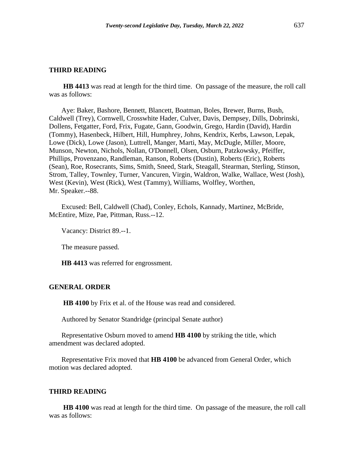**HB 4413** was read at length for the third time. On passage of the measure, the roll call was as follows:

Aye: Baker, Bashore, Bennett, Blancett, Boatman, Boles, Brewer, Burns, Bush, Caldwell (Trey), Cornwell, Crosswhite Hader, Culver, Davis, Dempsey, Dills, Dobrinski, Dollens, Fetgatter, Ford, Frix, Fugate, Gann, Goodwin, Grego, Hardin (David), Hardin (Tommy), Hasenbeck, Hilbert, Hill, Humphrey, Johns, Kendrix, Kerbs, Lawson, Lepak, Lowe (Dick), Lowe (Jason), Luttrell, Manger, Marti, May, McDugle, Miller, Moore, Munson, Newton, Nichols, Nollan, O'Donnell, Olsen, Osburn, Patzkowsky, Pfeiffer, Phillips, Provenzano, Randleman, Ranson, Roberts (Dustin), Roberts (Eric), Roberts (Sean), Roe, Rosecrants, Sims, Smith, Sneed, Stark, Steagall, Stearman, Sterling, Stinson, Strom, Talley, Townley, Turner, Vancuren, Virgin, Waldron, Walke, Wallace, West (Josh), West (Kevin), West (Rick), West (Tammy), Williams, Wolfley, Worthen, Mr. Speaker.--88.

Excused: Bell, Caldwell (Chad), Conley, Echols, Kannady, Martinez, McBride, McEntire, Mize, Pae, Pittman, Russ.--12.

Vacancy: District 89.--1.

The measure passed.

**HB 4413** was referred for engrossment.

#### **GENERAL ORDER**

**HB 4100** by Frix et al. of the House was read and considered.

Authored by Senator Standridge (principal Senate author)

Representative Osburn moved to amend **HB 4100** by striking the title, which amendment was declared adopted.

Representative Frix moved that **HB 4100** be advanced from General Order, which motion was declared adopted.

#### **THIRD READING**

**HB 4100** was read at length for the third time. On passage of the measure, the roll call was as follows: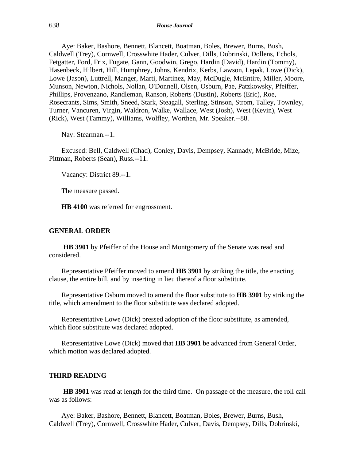Aye: Baker, Bashore, Bennett, Blancett, Boatman, Boles, Brewer, Burns, Bush, Caldwell (Trey), Cornwell, Crosswhite Hader, Culver, Dills, Dobrinski, Dollens, Echols, Fetgatter, Ford, Frix, Fugate, Gann, Goodwin, Grego, Hardin (David), Hardin (Tommy), Hasenbeck, Hilbert, Hill, Humphrey, Johns, Kendrix, Kerbs, Lawson, Lepak, Lowe (Dick), Lowe (Jason), Luttrell, Manger, Marti, Martinez, May, McDugle, McEntire, Miller, Moore, Munson, Newton, Nichols, Nollan, O'Donnell, Olsen, Osburn, Pae, Patzkowsky, Pfeiffer, Phillips, Provenzano, Randleman, Ranson, Roberts (Dustin), Roberts (Eric), Roe, Rosecrants, Sims, Smith, Sneed, Stark, Steagall, Sterling, Stinson, Strom, Talley, Townley, Turner, Vancuren, Virgin, Waldron, Walke, Wallace, West (Josh), West (Kevin), West (Rick), West (Tammy), Williams, Wolfley, Worthen, Mr. Speaker.--88.

Nay: Stearman.--1.

Excused: Bell, Caldwell (Chad), Conley, Davis, Dempsey, Kannady, McBride, Mize, Pittman, Roberts (Sean), Russ.--11.

Vacancy: District 89.--1.

The measure passed.

**HB 4100** was referred for engrossment.

#### **GENERAL ORDER**

**HB 3901** by Pfeiffer of the House and Montgomery of the Senate was read and considered.

Representative Pfeiffer moved to amend **HB 3901** by striking the title, the enacting clause, the entire bill, and by inserting in lieu thereof a floor substitute.

Representative Osburn moved to amend the floor substitute to **HB 3901** by striking the title, which amendment to the floor substitute was declared adopted.

Representative Lowe (Dick) pressed adoption of the floor substitute, as amended, which floor substitute was declared adopted.

Representative Lowe (Dick) moved that **HB 3901** be advanced from General Order, which motion was declared adopted.

#### **THIRD READING**

**HB 3901** was read at length for the third time. On passage of the measure, the roll call was as follows:

Aye: Baker, Bashore, Bennett, Blancett, Boatman, Boles, Brewer, Burns, Bush, Caldwell (Trey), Cornwell, Crosswhite Hader, Culver, Davis, Dempsey, Dills, Dobrinski,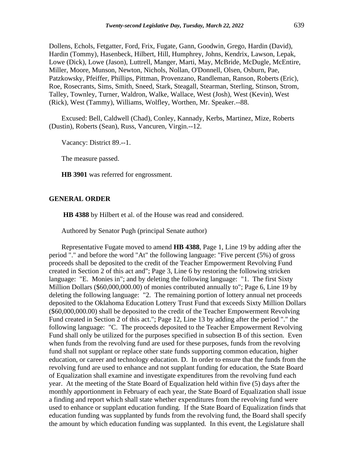Dollens, Echols, Fetgatter, Ford, Frix, Fugate, Gann, Goodwin, Grego, Hardin (David), Hardin (Tommy), Hasenbeck, Hilbert, Hill, Humphrey, Johns, Kendrix, Lawson, Lepak, Lowe (Dick), Lowe (Jason), Luttrell, Manger, Marti, May, McBride, McDugle, McEntire, Miller, Moore, Munson, Newton, Nichols, Nollan, O'Donnell, Olsen, Osburn, Pae, Patzkowsky, Pfeiffer, Phillips, Pittman, Provenzano, Randleman, Ranson, Roberts (Eric), Roe, Rosecrants, Sims, Smith, Sneed, Stark, Steagall, Stearman, Sterling, Stinson, Strom, Talley, Townley, Turner, Waldron, Walke, Wallace, West (Josh), West (Kevin), West (Rick), West (Tammy), Williams, Wolfley, Worthen, Mr. Speaker.--88.

Excused: Bell, Caldwell (Chad), Conley, Kannady, Kerbs, Martinez, Mize, Roberts (Dustin), Roberts (Sean), Russ, Vancuren, Virgin.--12.

Vacancy: District 89.--1.

The measure passed.

**HB 3901** was referred for engrossment.

#### **GENERAL ORDER**

**HB 4388** by Hilbert et al. of the House was read and considered.

Authored by Senator Pugh (principal Senate author)

Representative Fugate moved to amend **HB 4388**, Page 1, Line 19 by adding after the period "." and before the word "At" the following language: "Five percent (5%) of gross proceeds shall be deposited to the credit of the Teacher Empowerment Revolving Fund created in Section 2 of this act and"; Page 3, Line 6 by restoring the following stricken language: "E. Monies in"; and by deleting the following language: "1. The first Sixty Million Dollars (\$60,000,000.00) of monies contributed annually to"; Page 6, Line 19 by deleting the following language: "2. The remaining portion of lottery annual net proceeds deposited to the Oklahoma Education Lottery Trust Fund that exceeds Sixty Million Dollars (\$60,000,000.00) shall be deposited to the credit of the Teacher Empowerment Revolving Fund created in Section 2 of this act."; Page 12, Line 13 by adding after the period "." the following language: "C. The proceeds deposited to the Teacher Empowerment Revolving Fund shall only be utilized for the purposes specified in subsection B of this section. Even when funds from the revolving fund are used for these purposes, funds from the revolving fund shall not supplant or replace other state funds supporting common education, higher education, or career and technology education. D. In order to ensure that the funds from the revolving fund are used to enhance and not supplant funding for education, the State Board of Equalization shall examine and investigate expenditures from the revolving fund each year. At the meeting of the State Board of Equalization held within five (5) days after the monthly apportionment in February of each year, the State Board of Equalization shall issue a finding and report which shall state whether expenditures from the revolving fund were used to enhance or supplant education funding. If the State Board of Equalization finds that education funding was supplanted by funds from the revolving fund, the Board shall specify the amount by which education funding was supplanted. In this event, the Legislature shall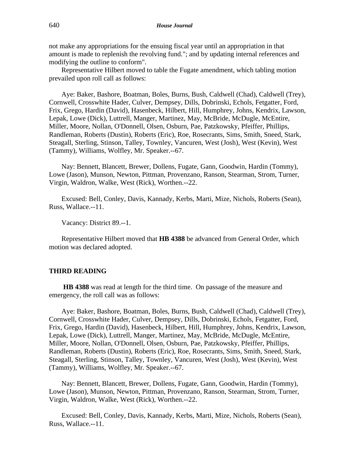not make any appropriations for the ensuing fiscal year until an appropriation in that amount is made to replenish the revolving fund."; and by updating internal references and modifying the outline to conform".

Representative Hilbert moved to table the Fugate amendment, which tabling motion prevailed upon roll call as follows:

Aye: Baker, Bashore, Boatman, Boles, Burns, Bush, Caldwell (Chad), Caldwell (Trey), Cornwell, Crosswhite Hader, Culver, Dempsey, Dills, Dobrinski, Echols, Fetgatter, Ford, Frix, Grego, Hardin (David), Hasenbeck, Hilbert, Hill, Humphrey, Johns, Kendrix, Lawson, Lepak, Lowe (Dick), Luttrell, Manger, Martinez, May, McBride, McDugle, McEntire, Miller, Moore, Nollan, O'Donnell, Olsen, Osburn, Pae, Patzkowsky, Pfeiffer, Phillips, Randleman, Roberts (Dustin), Roberts (Eric), Roe, Rosecrants, Sims, Smith, Sneed, Stark, Steagall, Sterling, Stinson, Talley, Townley, Vancuren, West (Josh), West (Kevin), West (Tammy), Williams, Wolfley, Mr. Speaker.--67.

Nay: Bennett, Blancett, Brewer, Dollens, Fugate, Gann, Goodwin, Hardin (Tommy), Lowe (Jason), Munson, Newton, Pittman, Provenzano, Ranson, Stearman, Strom, Turner, Virgin, Waldron, Walke, West (Rick), Worthen.--22.

Excused: Bell, Conley, Davis, Kannady, Kerbs, Marti, Mize, Nichols, Roberts (Sean), Russ, Wallace.--11.

Vacancy: District 89.--1.

Representative Hilbert moved that **HB 4388** be advanced from General Order, which motion was declared adopted.

#### **THIRD READING**

**HB 4388** was read at length for the third time. On passage of the measure and emergency, the roll call was as follows:

Aye: Baker, Bashore, Boatman, Boles, Burns, Bush, Caldwell (Chad), Caldwell (Trey), Cornwell, Crosswhite Hader, Culver, Dempsey, Dills, Dobrinski, Echols, Fetgatter, Ford, Frix, Grego, Hardin (David), Hasenbeck, Hilbert, Hill, Humphrey, Johns, Kendrix, Lawson, Lepak, Lowe (Dick), Luttrell, Manger, Martinez, May, McBride, McDugle, McEntire, Miller, Moore, Nollan, O'Donnell, Olsen, Osburn, Pae, Patzkowsky, Pfeiffer, Phillips, Randleman, Roberts (Dustin), Roberts (Eric), Roe, Rosecrants, Sims, Smith, Sneed, Stark, Steagall, Sterling, Stinson, Talley, Townley, Vancuren, West (Josh), West (Kevin), West (Tammy), Williams, Wolfley, Mr. Speaker.--67.

Nay: Bennett, Blancett, Brewer, Dollens, Fugate, Gann, Goodwin, Hardin (Tommy), Lowe (Jason), Munson, Newton, Pittman, Provenzano, Ranson, Stearman, Strom, Turner, Virgin, Waldron, Walke, West (Rick), Worthen.--22.

Excused: Bell, Conley, Davis, Kannady, Kerbs, Marti, Mize, Nichols, Roberts (Sean), Russ, Wallace.--11.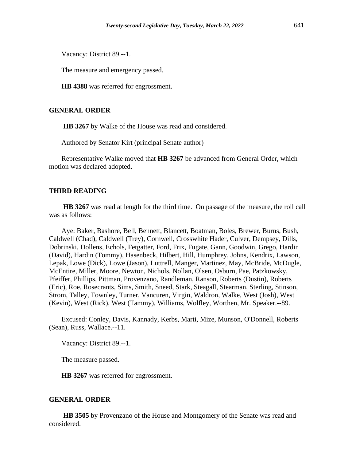Vacancy: District 89.--1.

The measure and emergency passed.

**HB 4388** was referred for engrossment.

#### **GENERAL ORDER**

**HB 3267** by Walke of the House was read and considered.

Authored by Senator Kirt (principal Senate author)

Representative Walke moved that **HB 3267** be advanced from General Order, which motion was declared adopted.

#### **THIRD READING**

**HB 3267** was read at length for the third time. On passage of the measure, the roll call was as follows:

Aye: Baker, Bashore, Bell, Bennett, Blancett, Boatman, Boles, Brewer, Burns, Bush, Caldwell (Chad), Caldwell (Trey), Cornwell, Crosswhite Hader, Culver, Dempsey, Dills, Dobrinski, Dollens, Echols, Fetgatter, Ford, Frix, Fugate, Gann, Goodwin, Grego, Hardin (David), Hardin (Tommy), Hasenbeck, Hilbert, Hill, Humphrey, Johns, Kendrix, Lawson, Lepak, Lowe (Dick), Lowe (Jason), Luttrell, Manger, Martinez, May, McBride, McDugle, McEntire, Miller, Moore, Newton, Nichols, Nollan, Olsen, Osburn, Pae, Patzkowsky, Pfeiffer, Phillips, Pittman, Provenzano, Randleman, Ranson, Roberts (Dustin), Roberts (Eric), Roe, Rosecrants, Sims, Smith, Sneed, Stark, Steagall, Stearman, Sterling, Stinson, Strom, Talley, Townley, Turner, Vancuren, Virgin, Waldron, Walke, West (Josh), West (Kevin), West (Rick), West (Tammy), Williams, Wolfley, Worthen, Mr. Speaker.--89.

Excused: Conley, Davis, Kannady, Kerbs, Marti, Mize, Munson, O'Donnell, Roberts (Sean), Russ, Wallace.--11.

Vacancy: District 89.--1.

The measure passed.

**HB 3267** was referred for engrossment.

#### **GENERAL ORDER**

**HB 3505** by Provenzano of the House and Montgomery of the Senate was read and considered.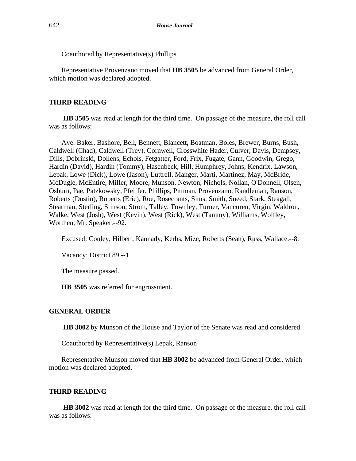Coauthored by Representative(s) Phillips

Representative Provenzano moved that **HB 3505** be advanced from General Order, which motion was declared adopted.

# **THIRD READING**

**HB 3505** was read at length for the third time. On passage of the measure, the roll call was as follows:

Aye: Baker, Bashore, Bell, Bennett, Blancett, Boatman, Boles, Brewer, Burns, Bush, Caldwell (Chad), Caldwell (Trey), Cornwell, Crosswhite Hader, Culver, Davis, Dempsey, Dills, Dobrinski, Dollens, Echols, Fetgatter, Ford, Frix, Fugate, Gann, Goodwin, Grego, Hardin (David), Hardin (Tommy), Hasenbeck, Hill, Humphrey, Johns, Kendrix, Lawson, Lepak, Lowe (Dick), Lowe (Jason), Luttrell, Manger, Marti, Martinez, May, McBride, McDugle, McEntire, Miller, Moore, Munson, Newton, Nichols, Nollan, O'Donnell, Olsen, Osburn, Pae, Patzkowsky, Pfeiffer, Phillips, Pittman, Provenzano, Randleman, Ranson, Roberts (Dustin), Roberts (Eric), Roe, Rosecrants, Sims, Smith, Sneed, Stark, Steagall, Stearman, Sterling, Stinson, Strom, Talley, Townley, Turner, Vancuren, Virgin, Waldron, Walke, West (Josh), West (Kevin), West (Rick), West (Tammy), Williams, Wolfley, Worthen, Mr. Speaker.--92.

Excused: Conley, Hilbert, Kannady, Kerbs, Mize, Roberts (Sean), Russ, Wallace.--8.

Vacancy: District 89.--1.

The measure passed.

**HB 3505** was referred for engrossment.

# **GENERAL ORDER**

**HB 3002** by Munson of the House and Taylor of the Senate was read and considered.

Coauthored by Representative(s) Lepak, Ranson

Representative Munson moved that **HB 3002** be advanced from General Order, which motion was declared adopted.

# **THIRD READING**

**HB 3002** was read at length for the third time. On passage of the measure, the roll call was as follows: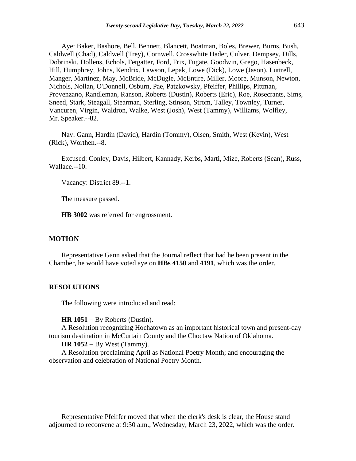Aye: Baker, Bashore, Bell, Bennett, Blancett, Boatman, Boles, Brewer, Burns, Bush, Caldwell (Chad), Caldwell (Trey), Cornwell, Crosswhite Hader, Culver, Dempsey, Dills, Dobrinski, Dollens, Echols, Fetgatter, Ford, Frix, Fugate, Goodwin, Grego, Hasenbeck, Hill, Humphrey, Johns, Kendrix, Lawson, Lepak, Lowe (Dick), Lowe (Jason), Luttrell, Manger, Martinez, May, McBride, McDugle, McEntire, Miller, Moore, Munson, Newton, Nichols, Nollan, O'Donnell, Osburn, Pae, Patzkowsky, Pfeiffer, Phillips, Pittman, Provenzano, Randleman, Ranson, Roberts (Dustin), Roberts (Eric), Roe, Rosecrants, Sims, Sneed, Stark, Steagall, Stearman, Sterling, Stinson, Strom, Talley, Townley, Turner, Vancuren, Virgin, Waldron, Walke, West (Josh), West (Tammy), Williams, Wolfley, Mr. Speaker.--82.

Nay: Gann, Hardin (David), Hardin (Tommy), Olsen, Smith, West (Kevin), West (Rick), Worthen.--8.

Excused: Conley, Davis, Hilbert, Kannady, Kerbs, Marti, Mize, Roberts (Sean), Russ, Wallace.--10.

Vacancy: District 89.--1.

The measure passed.

**HB 3002** was referred for engrossment.

#### **MOTION**

Representative Gann asked that the Journal reflect that had he been present in the Chamber, he would have voted aye on **HBs 4150** and **4191**, which was the order.

#### **RESOLUTIONS**

The following were introduced and read:

#### **HR 1051** − By Roberts (Dustin).

A Resolution recognizing Hochatown as an important historical town and present-day tourism destination in McCurtain County and the Choctaw Nation of Oklahoma.

#### **HR 1052** − By West (Tammy).

A Resolution proclaiming April as National Poetry Month; and encouraging the observation and celebration of National Poetry Month.

Representative Pfeiffer moved that when the clerk's desk is clear, the House stand adjourned to reconvene at 9:30 a.m., Wednesday, March 23, 2022, which was the order.